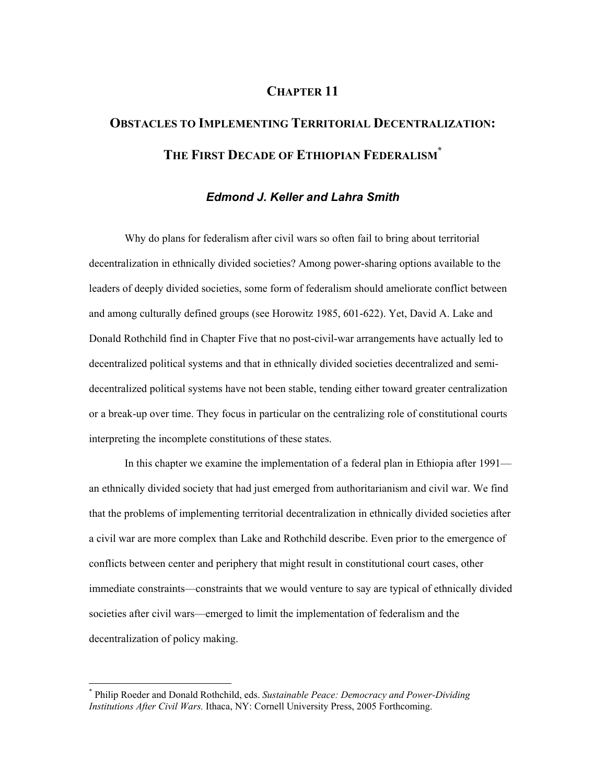# **CHAPTER 11**

# **OBSTACLES TO IMPLEMENTING TERRITORIAL DECENTRALIZATION: THE FIRST DECADE OF ETHIOPIAN FEDERALISM\***

# *Edmond J. Keller and Lahra Smith*

Why do plans for federalism after civil wars so often fail to bring about territorial decentralization in ethnically divided societies? Among power-sharing options available to the leaders of deeply divided societies, some form of federalism should ameliorate conflict between and among culturally defined groups (see Horowitz 1985, 601-622). Yet, David A. Lake and Donald Rothchild find in Chapter Five that no post-civil-war arrangements have actually led to decentralized political systems and that in ethnically divided societies decentralized and semidecentralized political systems have not been stable, tending either toward greater centralization or a break-up over time. They focus in particular on the centralizing role of constitutional courts interpreting the incomplete constitutions of these states.

In this chapter we examine the implementation of a federal plan in Ethiopia after 1991 an ethnically divided society that had just emerged from authoritarianism and civil war. We find that the problems of implementing territorial decentralization in ethnically divided societies after a civil war are more complex than Lake and Rothchild describe. Even prior to the emergence of conflicts between center and periphery that might result in constitutional court cases, other immediate constraints—constraints that we would venture to say are typical of ethnically divided societies after civil wars—emerged to limit the implementation of federalism and the decentralization of policy making.

 $\overline{a}$ 

<sup>\*</sup> Philip Roeder and Donald Rothchild, eds. *Sustainable Peace: Democracy and Power-Dividing Institutions After Civil Wars.* Ithaca, NY: Cornell University Press, 2005 Forthcoming.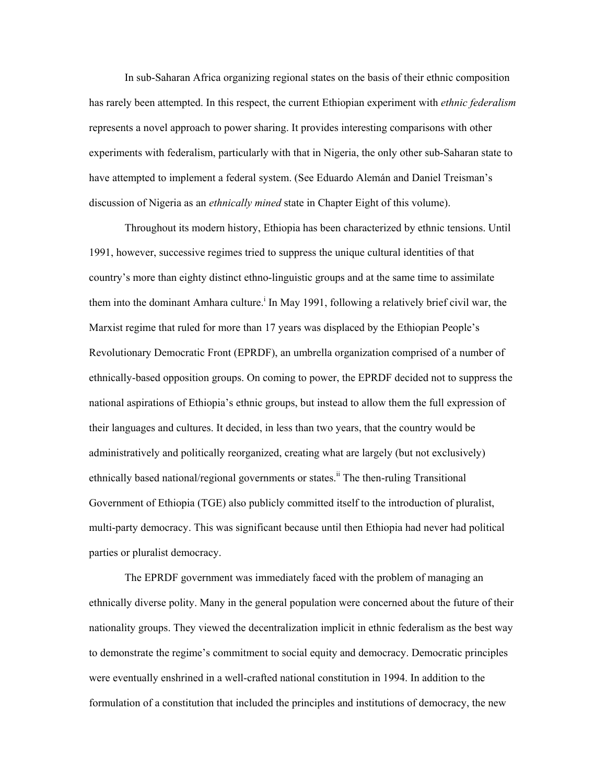In sub-Saharan Africa organizing regional states on the basis of their ethnic composition has rarely been attempted. In this respect, the current Ethiopian experiment with *ethnic federalism* represents a novel approach to power sharing. It provides interesting comparisons with other experiments with federalism, particularly with that in Nigeria, the only other sub-Saharan state to have attempted to implement a federal system. (See Eduardo Alemán and Daniel Treisman's discussion of Nigeria as an *ethnically mined* state in Chapter Eight of this volume).

Throughout its modern history, Ethiopia has been characterized by ethnic tensions. Until 1991, however, successive regimes tried to suppress the unique cultural identities of that country's more than eighty distinct ethno-linguistic groups and at the same time to assimilate them into the dominant Amhara culture.<sup>i</sup> In May 1991, following a relatively brief civil war, the Marxist regime that ruled for more than 17 years was displaced by the Ethiopian People's Revolutionary Democratic Front (EPRDF), an umbrella organization comprised of a number of ethnically-based opposition groups. On coming to power, the EPRDF decided not to suppress the national aspirations of Ethiopia's ethnic groups, but instead to allow them the full expression of their languages and cultures. It decided, in less than two years, that the country would be administratively and politically reorganized, creating what are largely (but not exclusively) ethnically based national/regional governments or states.<sup>ii</sup> The then-ruling Transitional Government of Ethiopia (TGE) also publicly committed itself to the introduction of pluralist, multi-party democracy. This was significant because until then Ethiopia had never had political parties or pluralist democracy.

The EPRDF government was immediately faced with the problem of managing an ethnically diverse polity. Many in the general population were concerned about the future of their nationality groups. They viewed the decentralization implicit in ethnic federalism as the best way to demonstrate the regime's commitment to social equity and democracy. Democratic principles were eventually enshrined in a well-crafted national constitution in 1994. In addition to the formulation of a constitution that included the principles and institutions of democracy, the new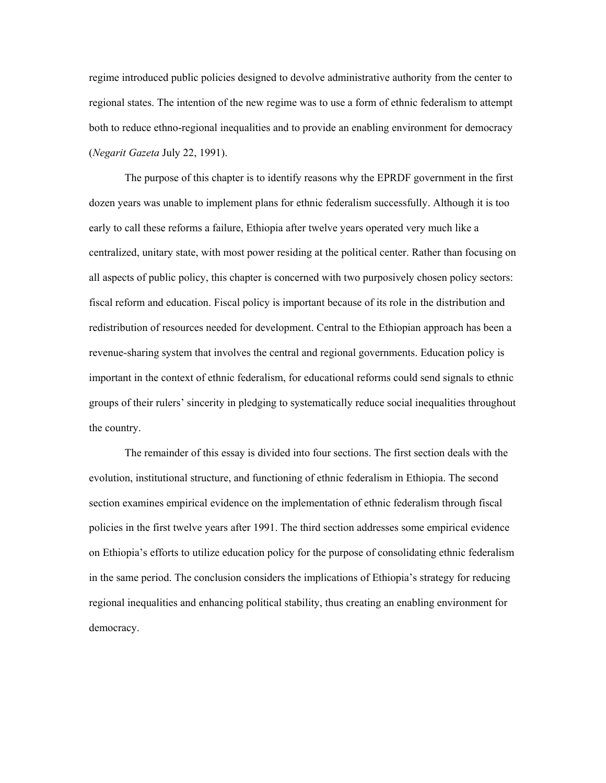regime introduced public policies designed to devolve administrative authority from the center to regional states. The intention of the new regime was to use a form of ethnic federalism to attempt both to reduce ethno-regional inequalities and to provide an enabling environment for democracy (*Negarit Gazeta* July 22, 1991).

The purpose of this chapter is to identify reasons why the EPRDF government in the first dozen years was unable to implement plans for ethnic federalism successfully. Although it is too early to call these reforms a failure, Ethiopia after twelve years operated very much like a centralized, unitary state, with most power residing at the political center. Rather than focusing on all aspects of public policy, this chapter is concerned with two purposively chosen policy sectors: fiscal reform and education. Fiscal policy is important because of its role in the distribution and redistribution of resources needed for development. Central to the Ethiopian approach has been a revenue-sharing system that involves the central and regional governments. Education policy is important in the context of ethnic federalism, for educational reforms could send signals to ethnic groups of their rulers' sincerity in pledging to systematically reduce social inequalities throughout the country.

The remainder of this essay is divided into four sections. The first section deals with the evolution, institutional structure, and functioning of ethnic federalism in Ethiopia. The second section examines empirical evidence on the implementation of ethnic federalism through fiscal policies in the first twelve years after 1991. The third section addresses some empirical evidence on Ethiopia's efforts to utilize education policy for the purpose of consolidating ethnic federalism in the same period. The conclusion considers the implications of Ethiopia's strategy for reducing regional inequalities and enhancing political stability, thus creating an enabling environment for democracy.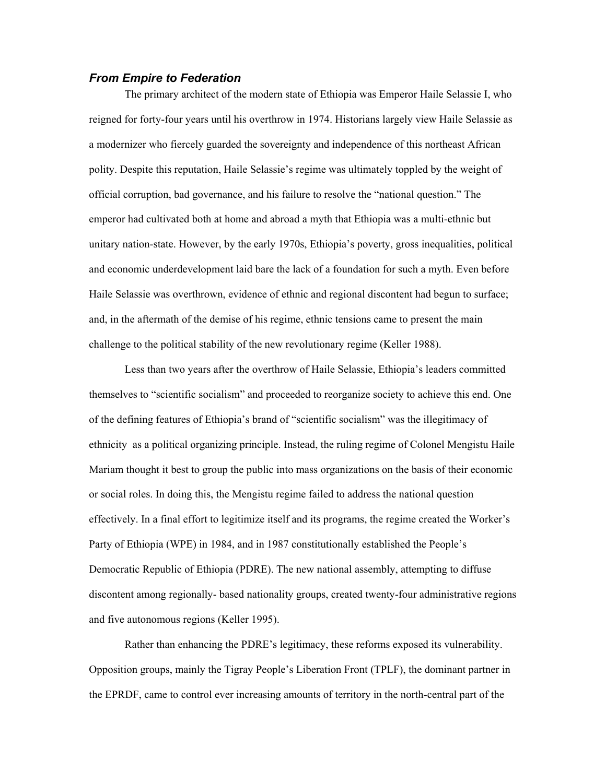## *From Empire to Federation*

The primary architect of the modern state of Ethiopia was Emperor Haile Selassie I, who reigned for forty-four years until his overthrow in 1974. Historians largely view Haile Selassie as a modernizer who fiercely guarded the sovereignty and independence of this northeast African polity. Despite this reputation, Haile Selassie's regime was ultimately toppled by the weight of official corruption, bad governance, and his failure to resolve the "national question." The emperor had cultivated both at home and abroad a myth that Ethiopia was a multi-ethnic but unitary nation-state. However, by the early 1970s, Ethiopia's poverty, gross inequalities, political and economic underdevelopment laid bare the lack of a foundation for such a myth. Even before Haile Selassie was overthrown, evidence of ethnic and regional discontent had begun to surface; and, in the aftermath of the demise of his regime, ethnic tensions came to present the main challenge to the political stability of the new revolutionary regime (Keller 1988).

Less than two years after the overthrow of Haile Selassie, Ethiopia's leaders committed themselves to "scientific socialism" and proceeded to reorganize society to achieve this end. One of the defining features of Ethiopia's brand of "scientific socialism" was the illegitimacy of ethnicity as a political organizing principle. Instead, the ruling regime of Colonel Mengistu Haile Mariam thought it best to group the public into mass organizations on the basis of their economic or social roles. In doing this, the Mengistu regime failed to address the national question effectively. In a final effort to legitimize itself and its programs, the regime created the Worker's Party of Ethiopia (WPE) in 1984, and in 1987 constitutionally established the People's Democratic Republic of Ethiopia (PDRE). The new national assembly, attempting to diffuse discontent among regionally- based nationality groups, created twenty-four administrative regions and five autonomous regions (Keller 1995).

Rather than enhancing the PDRE's legitimacy, these reforms exposed its vulnerability. Opposition groups, mainly the Tigray People's Liberation Front (TPLF), the dominant partner in the EPRDF, came to control ever increasing amounts of territory in the north-central part of the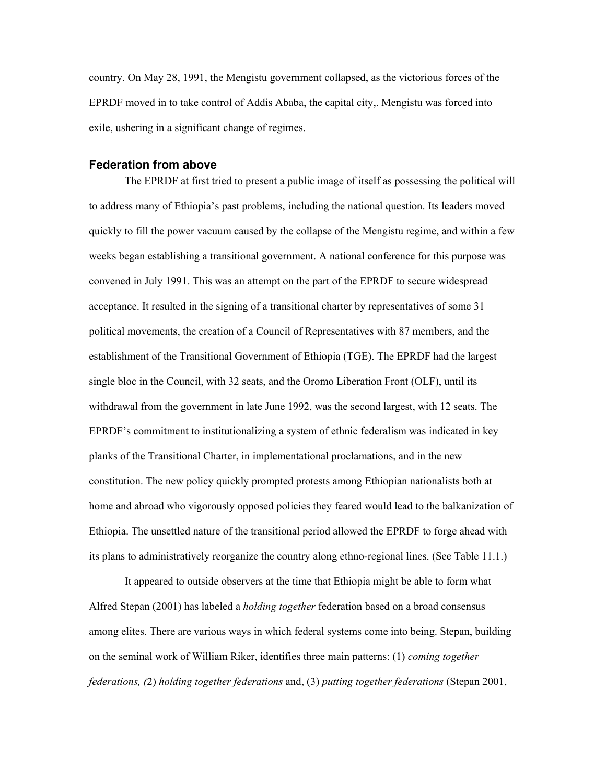country. On May 28, 1991, the Mengistu government collapsed, as the victorious forces of the EPRDF moved in to take control of Addis Ababa, the capital city,. Mengistu was forced into exile, ushering in a significant change of regimes.

## **Federation from above**

The EPRDF at first tried to present a public image of itself as possessing the political will to address many of Ethiopia's past problems, including the national question. Its leaders moved quickly to fill the power vacuum caused by the collapse of the Mengistu regime, and within a few weeks began establishing a transitional government. A national conference for this purpose was convened in July 1991. This was an attempt on the part of the EPRDF to secure widespread acceptance. It resulted in the signing of a transitional charter by representatives of some 31 political movements, the creation of a Council of Representatives with 87 members, and the establishment of the Transitional Government of Ethiopia (TGE). The EPRDF had the largest single bloc in the Council, with 32 seats, and the Oromo Liberation Front (OLF), until its withdrawal from the government in late June 1992, was the second largest, with 12 seats. The EPRDF's commitment to institutionalizing a system of ethnic federalism was indicated in key planks of the Transitional Charter, in implementational proclamations, and in the new constitution. The new policy quickly prompted protests among Ethiopian nationalists both at home and abroad who vigorously opposed policies they feared would lead to the balkanization of Ethiopia. The unsettled nature of the transitional period allowed the EPRDF to forge ahead with its plans to administratively reorganize the country along ethno-regional lines. (See Table 11.1.)

It appeared to outside observers at the time that Ethiopia might be able to form what Alfred Stepan (2001) has labeled a *holding together* federation based on a broad consensus among elites. There are various ways in which federal systems come into being. Stepan, building on the seminal work of William Riker, identifies three main patterns: (1) *coming together federations, (*2) *holding together federations* and, (3) *putting together federations* (Stepan 2001,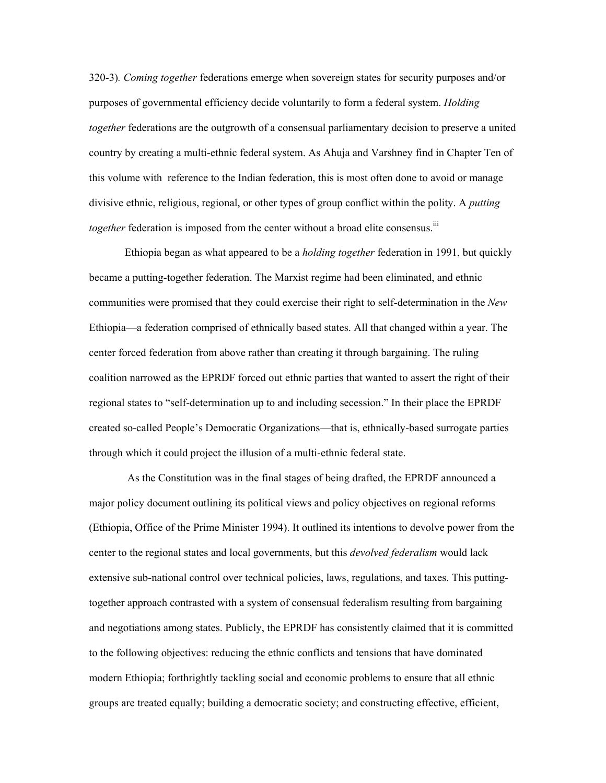320-3)*. Coming together* federations emerge when sovereign states for security purposes and/or purposes of governmental efficiency decide voluntarily to form a federal system. *Holding together* federations are the outgrowth of a consensual parliamentary decision to preserve a united country by creating a multi-ethnic federal system. As Ahuja and Varshney find in Chapter Ten of this volume with reference to the Indian federation, this is most often done to avoid or manage divisive ethnic, religious, regional, or other types of group conflict within the polity. A *putting together* federation is imposed from the center without a broad elite consensus.<sup>iii</sup>

Ethiopia began as what appeared to be a *holding together* federation in 1991, but quickly became a putting-together federation. The Marxist regime had been eliminated, and ethnic communities were promised that they could exercise their right to self-determination in the *New*  Ethiopia—a federation comprised of ethnically based states. All that changed within a year. The center forced federation from above rather than creating it through bargaining. The ruling coalition narrowed as the EPRDF forced out ethnic parties that wanted to assert the right of their regional states to "self-determination up to and including secession." In their place the EPRDF created so-called People's Democratic Organizations—that is, ethnically-based surrogate parties through which it could project the illusion of a multi-ethnic federal state.

 As the Constitution was in the final stages of being drafted, the EPRDF announced a major policy document outlining its political views and policy objectives on regional reforms (Ethiopia, Office of the Prime Minister 1994). It outlined its intentions to devolve power from the center to the regional states and local governments, but this *devolved federalism* would lack extensive sub-national control over technical policies, laws, regulations, and taxes. This puttingtogether approach contrasted with a system of consensual federalism resulting from bargaining and negotiations among states. Publicly, the EPRDF has consistently claimed that it is committed to the following objectives: reducing the ethnic conflicts and tensions that have dominated modern Ethiopia; forthrightly tackling social and economic problems to ensure that all ethnic groups are treated equally; building a democratic society; and constructing effective, efficient,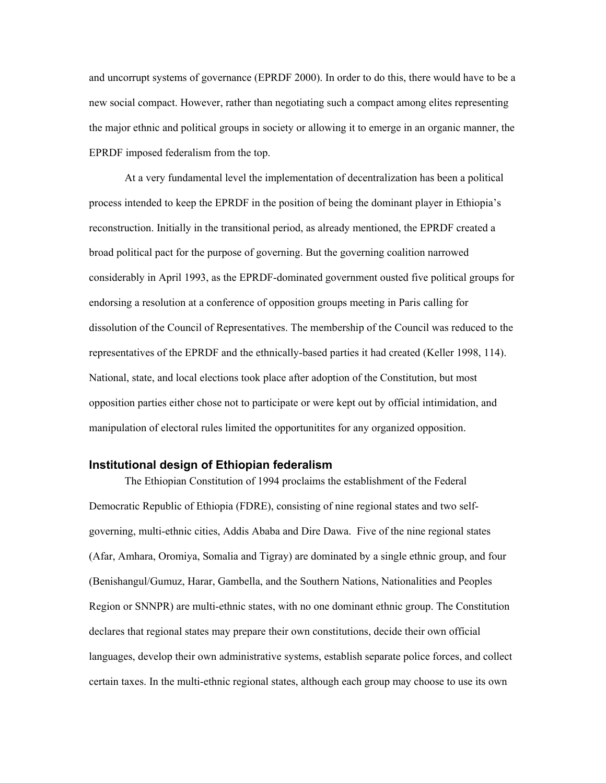and uncorrupt systems of governance (EPRDF 2000). In order to do this, there would have to be a new social compact. However, rather than negotiating such a compact among elites representing the major ethnic and political groups in society or allowing it to emerge in an organic manner, the EPRDF imposed federalism from the top.

At a very fundamental level the implementation of decentralization has been a political process intended to keep the EPRDF in the position of being the dominant player in Ethiopia's reconstruction. Initially in the transitional period, as already mentioned, the EPRDF created a broad political pact for the purpose of governing. But the governing coalition narrowed considerably in April 1993, as the EPRDF-dominated government ousted five political groups for endorsing a resolution at a conference of opposition groups meeting in Paris calling for dissolution of the Council of Representatives. The membership of the Council was reduced to the representatives of the EPRDF and the ethnically-based parties it had created (Keller 1998, 114). National, state, and local elections took place after adoption of the Constitution, but most opposition parties either chose not to participate or were kept out by official intimidation, and manipulation of electoral rules limited the opportunitites for any organized opposition.

### **Institutional design of Ethiopian federalism**

The Ethiopian Constitution of 1994 proclaims the establishment of the Federal Democratic Republic of Ethiopia (FDRE), consisting of nine regional states and two selfgoverning, multi-ethnic cities, Addis Ababa and Dire Dawa. Five of the nine regional states (Afar, Amhara, Oromiya, Somalia and Tigray) are dominated by a single ethnic group, and four (Benishangul/Gumuz, Harar, Gambella, and the Southern Nations, Nationalities and Peoples Region or SNNPR) are multi-ethnic states, with no one dominant ethnic group. The Constitution declares that regional states may prepare their own constitutions, decide their own official languages, develop their own administrative systems, establish separate police forces, and collect certain taxes. In the multi-ethnic regional states, although each group may choose to use its own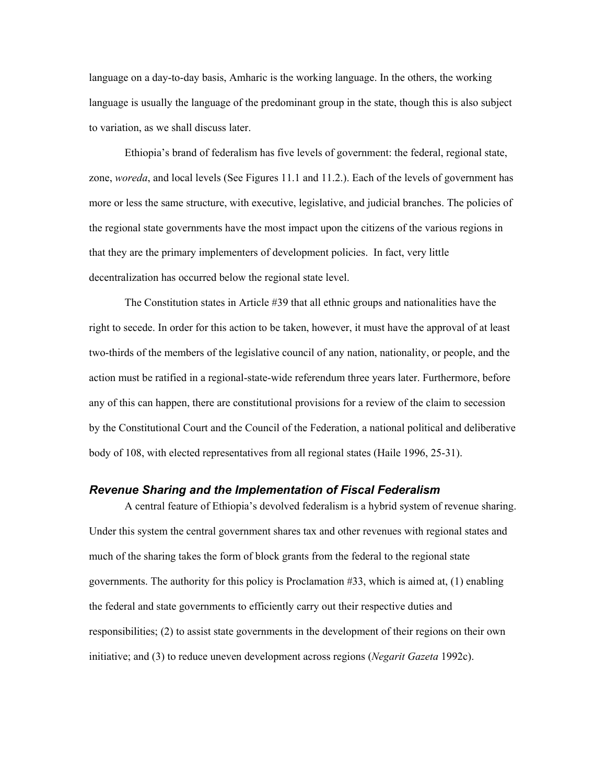language on a day-to-day basis, Amharic is the working language. In the others, the working language is usually the language of the predominant group in the state, though this is also subject to variation, as we shall discuss later.

Ethiopia's brand of federalism has five levels of government: the federal, regional state, zone, *woreda*, and local levels (See Figures 11.1 and 11.2.). Each of the levels of government has more or less the same structure, with executive, legislative, and judicial branches. The policies of the regional state governments have the most impact upon the citizens of the various regions in that they are the primary implementers of development policies. In fact, very little decentralization has occurred below the regional state level.

The Constitution states in Article #39 that all ethnic groups and nationalities have the right to secede. In order for this action to be taken, however, it must have the approval of at least two-thirds of the members of the legislative council of any nation, nationality, or people, and the action must be ratified in a regional-state-wide referendum three years later. Furthermore, before any of this can happen, there are constitutional provisions for a review of the claim to secession by the Constitutional Court and the Council of the Federation, a national political and deliberative body of 108, with elected representatives from all regional states (Haile 1996, 25-31).

## *Revenue Sharing and the Implementation of Fiscal Federalism*

A central feature of Ethiopia's devolved federalism is a hybrid system of revenue sharing. Under this system the central government shares tax and other revenues with regional states and much of the sharing takes the form of block grants from the federal to the regional state governments. The authority for this policy is Proclamation #33, which is aimed at, (1) enabling the federal and state governments to efficiently carry out their respective duties and responsibilities; (2) to assist state governments in the development of their regions on their own initiative; and (3) to reduce uneven development across regions (*Negarit Gazeta* 1992c).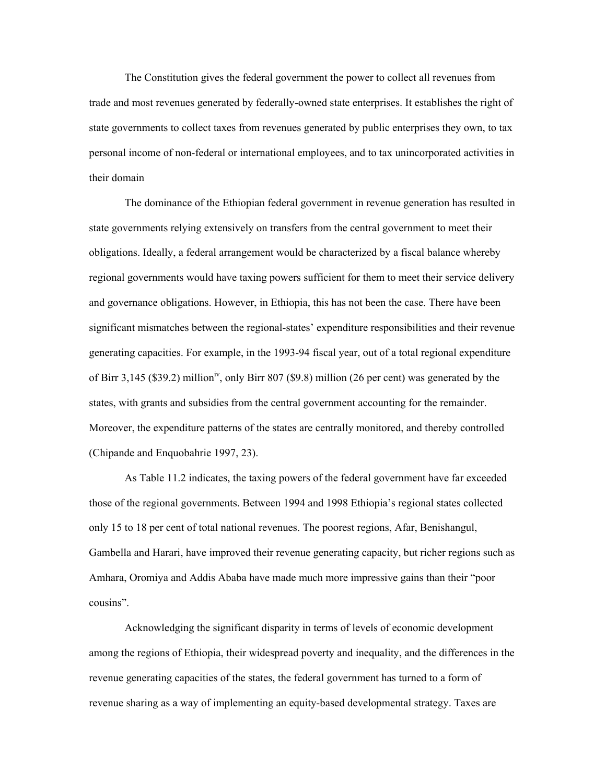The Constitution gives the federal government the power to collect all revenues from trade and most revenues generated by federally-owned state enterprises. It establishes the right of state governments to collect taxes from revenues generated by public enterprises they own, to tax personal income of non-federal or international employees, and to tax unincorporated activities in their domain

The dominance of the Ethiopian federal government in revenue generation has resulted in state governments relying extensively on transfers from the central government to meet their obligations. Ideally, a federal arrangement would be characterized by a fiscal balance whereby regional governments would have taxing powers sufficient for them to meet their service delivery and governance obligations. However, in Ethiopia, this has not been the case. There have been significant mismatches between the regional-states' expenditure responsibilities and their revenue generating capacities. For example, in the 1993-94 fiscal year, out of a total regional expenditure of Birr 3,145 (\$39.2) million<sup>iv</sup>, only Birr 807 (\$9.8) million (26 per cent) was generated by the states, with grants and subsidies from the central government accounting for the remainder. Moreover, the expenditure patterns of the states are centrally monitored, and thereby controlled (Chipande and Enquobahrie 1997, 23).

As Table 11.2 indicates, the taxing powers of the federal government have far exceeded those of the regional governments. Between 1994 and 1998 Ethiopia's regional states collected only 15 to 18 per cent of total national revenues. The poorest regions, Afar, Benishangul, Gambella and Harari, have improved their revenue generating capacity, but richer regions such as Amhara, Oromiya and Addis Ababa have made much more impressive gains than their "poor cousins".

Acknowledging the significant disparity in terms of levels of economic development among the regions of Ethiopia, their widespread poverty and inequality, and the differences in the revenue generating capacities of the states, the federal government has turned to a form of revenue sharing as a way of implementing an equity-based developmental strategy. Taxes are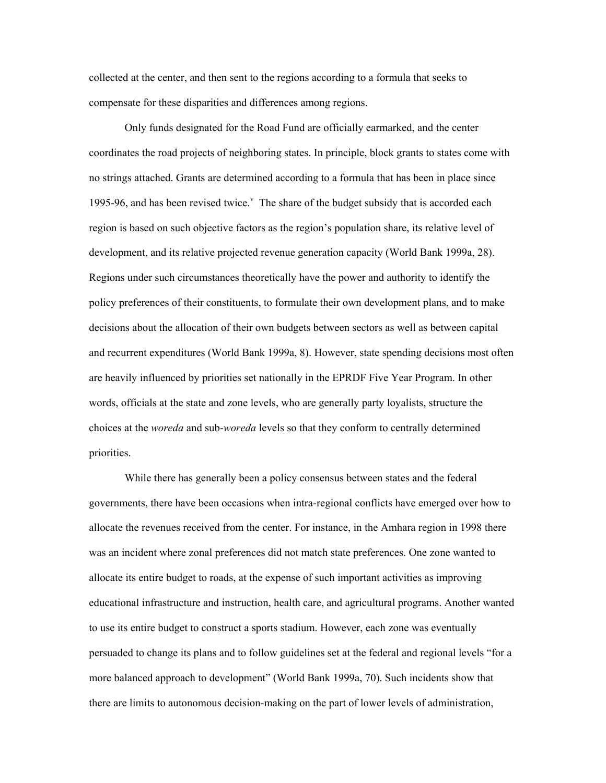collected at the center, and then sent to the regions according to a formula that seeks to compensate for these disparities and differences among regions.

Only funds designated for the Road Fund are officially earmarked, and the center coordinates the road projects of neighboring states. In principle, block grants to states come with no strings attached. Grants are determined according to a formula that has been in place since 1995-96, and has been revised twice. $<sup>v</sup>$  The share of the budget subsidy that is accorded each</sup> region is based on such objective factors as the region's population share, its relative level of development, and its relative projected revenue generation capacity (World Bank 1999a, 28). Regions under such circumstances theoretically have the power and authority to identify the policy preferences of their constituents, to formulate their own development plans, and to make decisions about the allocation of their own budgets between sectors as well as between capital and recurrent expenditures (World Bank 1999a, 8). However, state spending decisions most often are heavily influenced by priorities set nationally in the EPRDF Five Year Program. In other words, officials at the state and zone levels, who are generally party loyalists, structure the choices at the *woreda* and sub-*woreda* levels so that they conform to centrally determined priorities.

While there has generally been a policy consensus between states and the federal governments, there have been occasions when intra-regional conflicts have emerged over how to allocate the revenues received from the center. For instance, in the Amhara region in 1998 there was an incident where zonal preferences did not match state preferences. One zone wanted to allocate its entire budget to roads, at the expense of such important activities as improving educational infrastructure and instruction, health care, and agricultural programs. Another wanted to use its entire budget to construct a sports stadium. However, each zone was eventually persuaded to change its plans and to follow guidelines set at the federal and regional levels "for a more balanced approach to development" (World Bank 1999a, 70). Such incidents show that there are limits to autonomous decision-making on the part of lower levels of administration,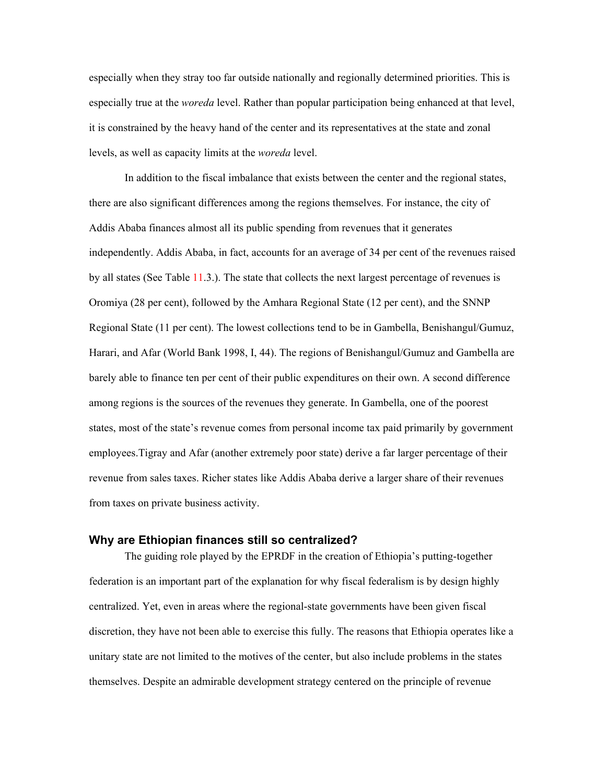especially when they stray too far outside nationally and regionally determined priorities. This is especially true at the *woreda* level. Rather than popular participation being enhanced at that level, it is constrained by the heavy hand of the center and its representatives at the state and zonal levels, as well as capacity limits at the *woreda* level.

In addition to the fiscal imbalance that exists between the center and the regional states, there are also significant differences among the regions themselves. For instance, the city of Addis Ababa finances almost all its public spending from revenues that it generates independently. Addis Ababa, in fact, accounts for an average of 34 per cent of the revenues raised by all states (See Table 11.3.). The state that collects the next largest percentage of revenues is Oromiya (28 per cent), followed by the Amhara Regional State (12 per cent), and the SNNP Regional State (11 per cent). The lowest collections tend to be in Gambella, Benishangul/Gumuz, Harari, and Afar (World Bank 1998, I, 44). The regions of Benishangul/Gumuz and Gambella are barely able to finance ten per cent of their public expenditures on their own. A second difference among regions is the sources of the revenues they generate. In Gambella, one of the poorest states, most of the state's revenue comes from personal income tax paid primarily by government employees.Tigray and Afar (another extremely poor state) derive a far larger percentage of their revenue from sales taxes. Richer states like Addis Ababa derive a larger share of their revenues from taxes on private business activity.

## **Why are Ethiopian finances still so centralized?**

The guiding role played by the EPRDF in the creation of Ethiopia's putting-together federation is an important part of the explanation for why fiscal federalism is by design highly centralized. Yet, even in areas where the regional-state governments have been given fiscal discretion, they have not been able to exercise this fully. The reasons that Ethiopia operates like a unitary state are not limited to the motives of the center, but also include problems in the states themselves. Despite an admirable development strategy centered on the principle of revenue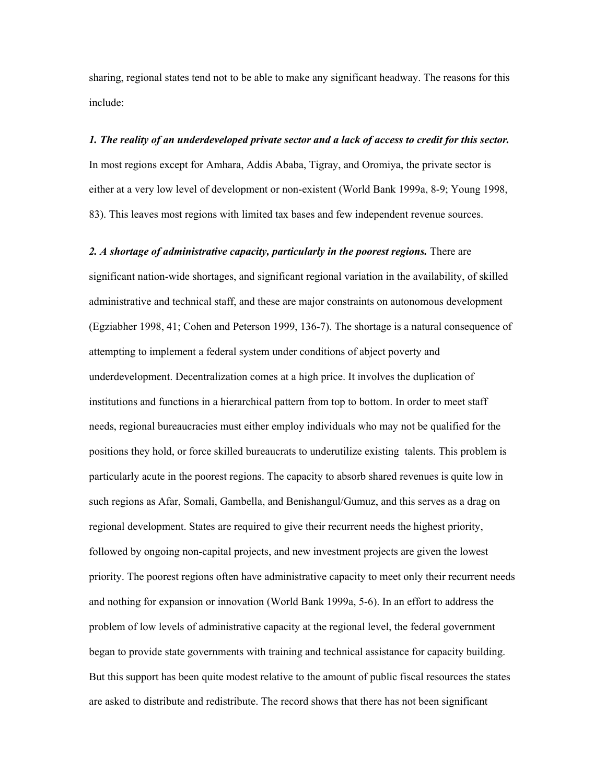sharing, regional states tend not to be able to make any significant headway. The reasons for this include:

#### *1. The reality of an underdeveloped private sector and a lack of access to credit for this sector.*

In most regions except for Amhara, Addis Ababa, Tigray, and Oromiya, the private sector is either at a very low level of development or non-existent (World Bank 1999a, 8-9; Young 1998, 83). This leaves most regions with limited tax bases and few independent revenue sources.

#### *2. A shortage of administrative capacity, particularly in the poorest regions.* There are

significant nation-wide shortages, and significant regional variation in the availability, of skilled administrative and technical staff, and these are major constraints on autonomous development (Egziabher 1998, 41; Cohen and Peterson 1999, 136-7). The shortage is a natural consequence of attempting to implement a federal system under conditions of abject poverty and underdevelopment. Decentralization comes at a high price. It involves the duplication of institutions and functions in a hierarchical pattern from top to bottom. In order to meet staff needs, regional bureaucracies must either employ individuals who may not be qualified for the positions they hold, or force skilled bureaucrats to underutilize existing talents. This problem is particularly acute in the poorest regions. The capacity to absorb shared revenues is quite low in such regions as Afar, Somali, Gambella, and Benishangul/Gumuz, and this serves as a drag on regional development. States are required to give their recurrent needs the highest priority, followed by ongoing non-capital projects, and new investment projects are given the lowest priority. The poorest regions often have administrative capacity to meet only their recurrent needs and nothing for expansion or innovation (World Bank 1999a, 5-6). In an effort to address the problem of low levels of administrative capacity at the regional level, the federal government began to provide state governments with training and technical assistance for capacity building. But this support has been quite modest relative to the amount of public fiscal resources the states are asked to distribute and redistribute. The record shows that there has not been significant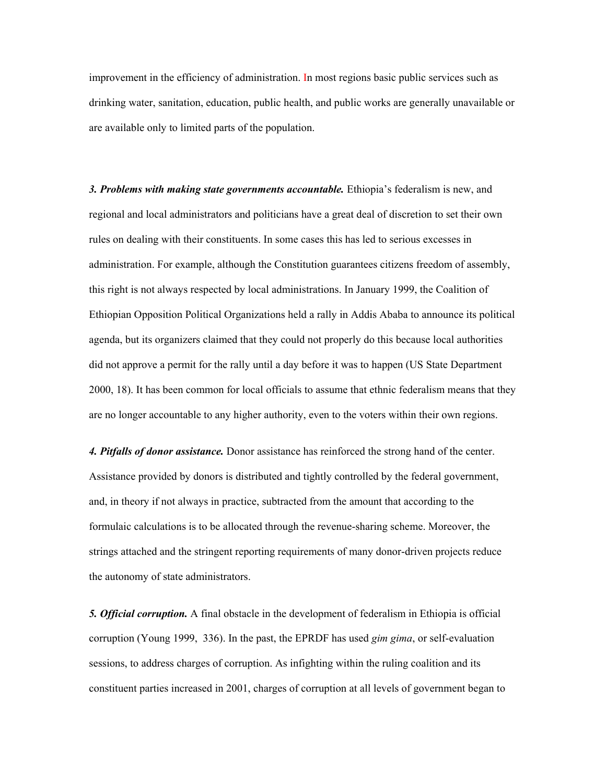improvement in the efficiency of administration. In most regions basic public services such as drinking water, sanitation, education, public health, and public works are generally unavailable or are available only to limited parts of the population.

*3. Problems with making state governments accountable.* Ethiopia's federalism is new, and regional and local administrators and politicians have a great deal of discretion to set their own rules on dealing with their constituents. In some cases this has led to serious excesses in administration. For example, although the Constitution guarantees citizens freedom of assembly, this right is not always respected by local administrations. In January 1999, the Coalition of Ethiopian Opposition Political Organizations held a rally in Addis Ababa to announce its political agenda, but its organizers claimed that they could not properly do this because local authorities did not approve a permit for the rally until a day before it was to happen (US State Department 2000, 18). It has been common for local officials to assume that ethnic federalism means that they are no longer accountable to any higher authority, even to the voters within their own regions.

*4. Pitfalls of donor assistance.* Donor assistance has reinforced the strong hand of the center. Assistance provided by donors is distributed and tightly controlled by the federal government, and, in theory if not always in practice, subtracted from the amount that according to the formulaic calculations is to be allocated through the revenue-sharing scheme. Moreover, the strings attached and the stringent reporting requirements of many donor-driven projects reduce the autonomy of state administrators.

*5. Official corruption.* A final obstacle in the development of federalism in Ethiopia is official corruption (Young 1999, 336). In the past, the EPRDF has used *gim gima*, or self-evaluation sessions, to address charges of corruption. As infighting within the ruling coalition and its constituent parties increased in 2001, charges of corruption at all levels of government began to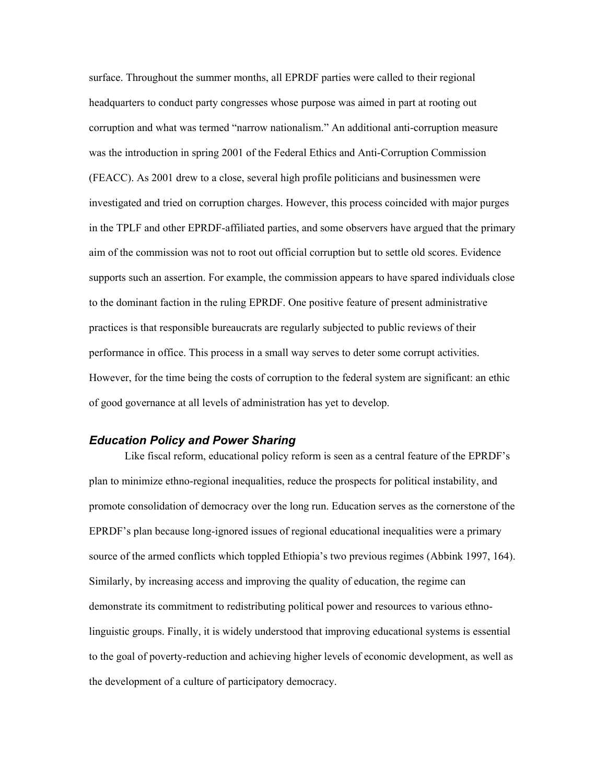surface. Throughout the summer months, all EPRDF parties were called to their regional headquarters to conduct party congresses whose purpose was aimed in part at rooting out corruption and what was termed "narrow nationalism." An additional anti-corruption measure was the introduction in spring 2001 of the Federal Ethics and Anti-Corruption Commission (FEACC). As 2001 drew to a close, several high profile politicians and businessmen were investigated and tried on corruption charges. However, this process coincided with major purges in the TPLF and other EPRDF-affiliated parties, and some observers have argued that the primary aim of the commission was not to root out official corruption but to settle old scores. Evidence supports such an assertion. For example, the commission appears to have spared individuals close to the dominant faction in the ruling EPRDF. One positive feature of present administrative practices is that responsible bureaucrats are regularly subjected to public reviews of their performance in office. This process in a small way serves to deter some corrupt activities. However, for the time being the costs of corruption to the federal system are significant: an ethic of good governance at all levels of administration has yet to develop.

## *Education Policy and Power Sharing*

Like fiscal reform, educational policy reform is seen as a central feature of the EPRDF's plan to minimize ethno-regional inequalities, reduce the prospects for political instability, and promote consolidation of democracy over the long run. Education serves as the cornerstone of the EPRDF's plan because long-ignored issues of regional educational inequalities were a primary source of the armed conflicts which toppled Ethiopia's two previous regimes (Abbink 1997, 164). Similarly, by increasing access and improving the quality of education, the regime can demonstrate its commitment to redistributing political power and resources to various ethnolinguistic groups. Finally, it is widely understood that improving educational systems is essential to the goal of poverty-reduction and achieving higher levels of economic development, as well as the development of a culture of participatory democracy.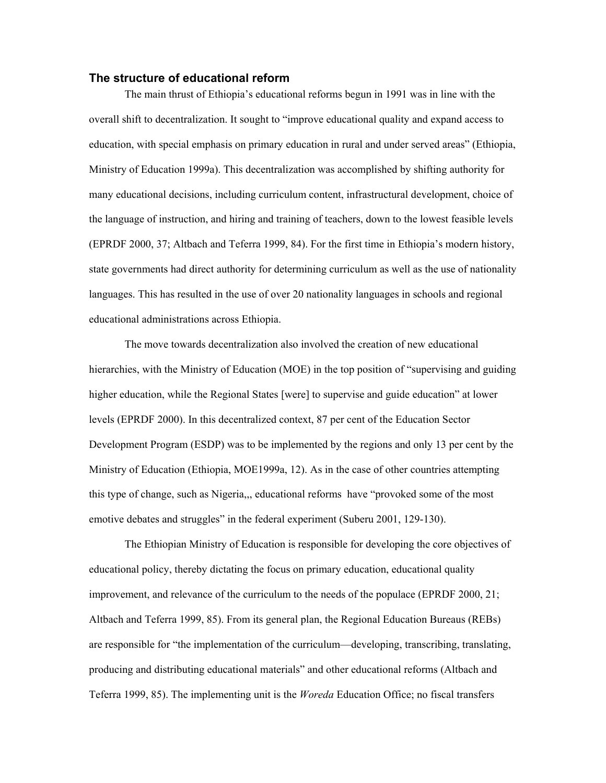## **The structure of educational reform**

The main thrust of Ethiopia's educational reforms begun in 1991 was in line with the overall shift to decentralization. It sought to "improve educational quality and expand access to education, with special emphasis on primary education in rural and under served areas" (Ethiopia, Ministry of Education 1999a). This decentralization was accomplished by shifting authority for many educational decisions, including curriculum content, infrastructural development, choice of the language of instruction, and hiring and training of teachers, down to the lowest feasible levels (EPRDF 2000, 37; Altbach and Teferra 1999, 84). For the first time in Ethiopia's modern history, state governments had direct authority for determining curriculum as well as the use of nationality languages. This has resulted in the use of over 20 nationality languages in schools and regional educational administrations across Ethiopia.

The move towards decentralization also involved the creation of new educational hierarchies, with the Ministry of Education (MOE) in the top position of "supervising and guiding higher education, while the Regional States [were] to supervise and guide education" at lower levels (EPRDF 2000). In this decentralized context, 87 per cent of the Education Sector Development Program (ESDP) was to be implemented by the regions and only 13 per cent by the Ministry of Education (Ethiopia, MOE1999a, 12). As in the case of other countries attempting this type of change, such as Nigeria,,, educational reforms have "provoked some of the most emotive debates and struggles" in the federal experiment (Suberu 2001, 129-130).

The Ethiopian Ministry of Education is responsible for developing the core objectives of educational policy, thereby dictating the focus on primary education, educational quality improvement, and relevance of the curriculum to the needs of the populace (EPRDF 2000, 21; Altbach and Teferra 1999, 85). From its general plan, the Regional Education Bureaus (REBs) are responsible for "the implementation of the curriculum—developing, transcribing, translating, producing and distributing educational materials" and other educational reforms (Altbach and Teferra 1999, 85). The implementing unit is the *Woreda* Education Office; no fiscal transfers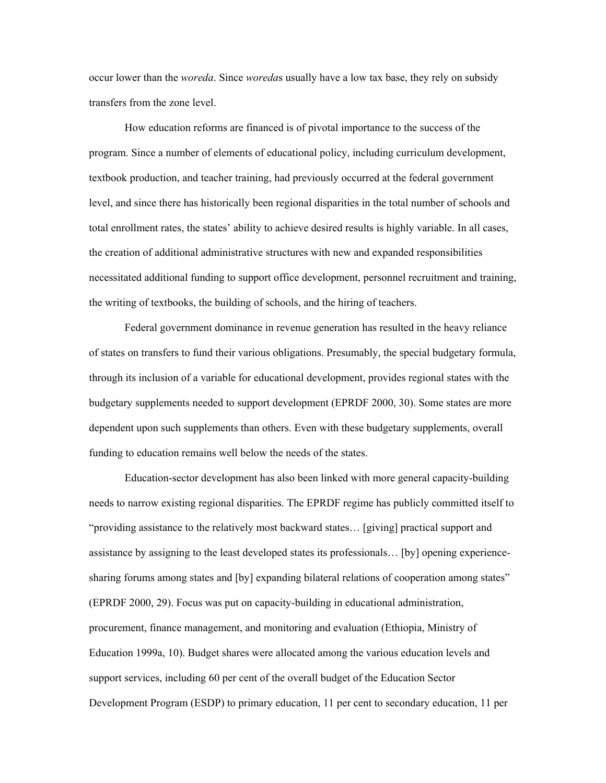occur lower than the *woreda*. Since *woreda*s usually have a low tax base, they rely on subsidy transfers from the zone level.

How education reforms are financed is of pivotal importance to the success of the program. Since a number of elements of educational policy, including curriculum development, textbook production, and teacher training, had previously occurred at the federal government level, and since there has historically been regional disparities in the total number of schools and total enrollment rates, the states' ability to achieve desired results is highly variable. In all cases, the creation of additional administrative structures with new and expanded responsibilities necessitated additional funding to support office development, personnel recruitment and training, the writing of textbooks, the building of schools, and the hiring of teachers.

Federal government dominance in revenue generation has resulted in the heavy reliance of states on transfers to fund their various obligations. Presumably, the special budgetary formula, through its inclusion of a variable for educational development, provides regional states with the budgetary supplements needed to support development (EPRDF 2000, 30). Some states are more dependent upon such supplements than others. Even with these budgetary supplements, overall funding to education remains well below the needs of the states.

Education-sector development has also been linked with more general capacity-building needs to narrow existing regional disparities. The EPRDF regime has publicly committed itself to "providing assistance to the relatively most backward states… [giving] practical support and assistance by assigning to the least developed states its professionals… [by] opening experiencesharing forums among states and [by] expanding bilateral relations of cooperation among states" (EPRDF 2000, 29). Focus was put on capacity-building in educational administration, procurement, finance management, and monitoring and evaluation (Ethiopia, Ministry of Education 1999a, 10). Budget shares were allocated among the various education levels and support services, including 60 per cent of the overall budget of the Education Sector Development Program (ESDP) to primary education, 11 per cent to secondary education, 11 per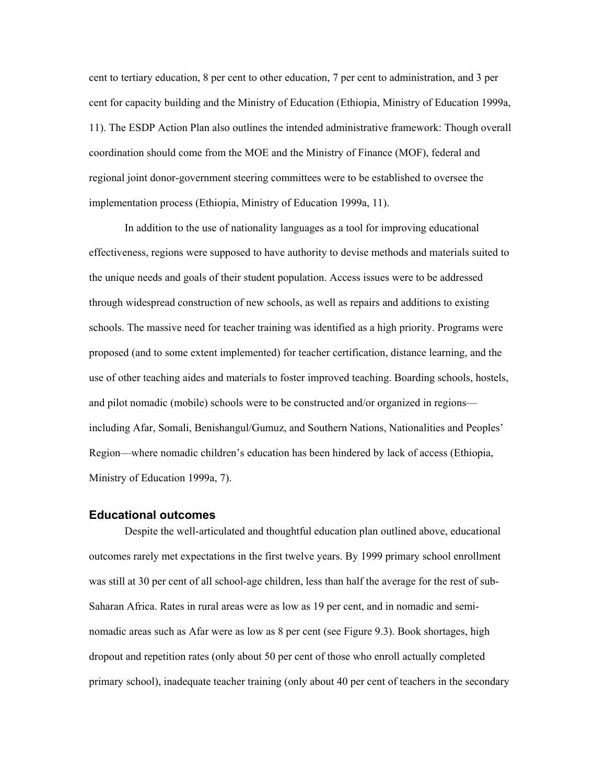cent to tertiary education, 8 per cent to other education, 7 per cent to administration, and 3 per cent for capacity building and the Ministry of Education (Ethiopia, Ministry of Education 1999a, 11). The ESDP Action Plan also outlines the intended administrative framework: Though overall coordination should come from the MOE and the Ministry of Finance (MOF), federal and regional joint donor-government steering committees were to be established to oversee the implementation process (Ethiopia, Ministry of Education 1999a, 11).

In addition to the use of nationality languages as a tool for improving educational effectiveness, regions were supposed to have authority to devise methods and materials suited to the unique needs and goals of their student population. Access issues were to be addressed through widespread construction of new schools, as well as repairs and additions to existing schools. The massive need for teacher training was identified as a high priority. Programs were proposed (and to some extent implemented) for teacher certification, distance learning, and the use of other teaching aides and materials to foster improved teaching. Boarding schools, hostels, and pilot nomadic (mobile) schools were to be constructed and/or organized in regions including Afar, Somali, Benishangul/Gumuz, and Southern Nations, Nationalities and Peoples' Region—where nomadic children's education has been hindered by lack of access (Ethiopia, Ministry of Education 1999a, 7).

#### **Educational outcomes**

Despite the well-articulated and thoughtful education plan outlined above, educational outcomes rarely met expectations in the first twelve years. By 1999 primary school enrollment was still at 30 per cent of all school-age children, less than half the average for the rest of sub-Saharan Africa. Rates in rural areas were as low as 19 per cent, and in nomadic and seminomadic areas such as Afar were as low as 8 per cent (see Figure 9.3). Book shortages, high dropout and repetition rates (only about 50 per cent of those who enroll actually completed primary school), inadequate teacher training (only about 40 per cent of teachers in the secondary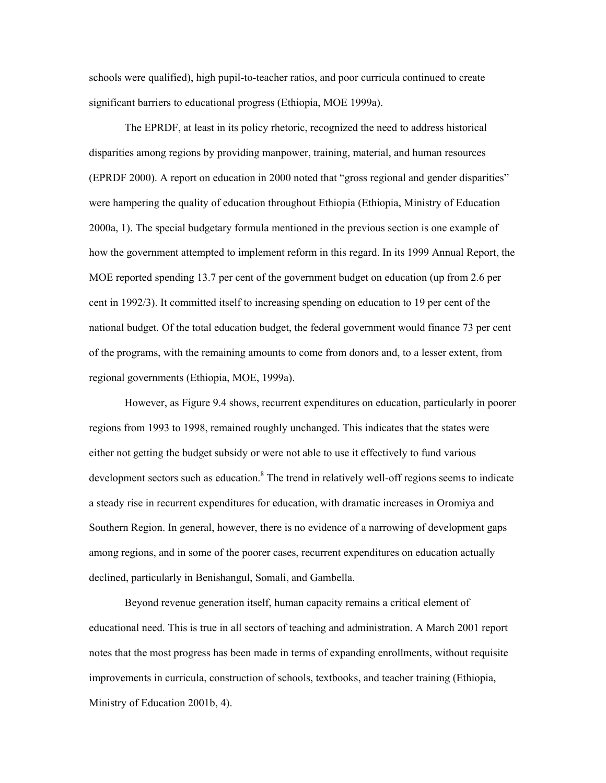schools were qualified), high pupil-to-teacher ratios, and poor curricula continued to create significant barriers to educational progress (Ethiopia, MOE 1999a).

The EPRDF, at least in its policy rhetoric, recognized the need to address historical disparities among regions by providing manpower, training, material, and human resources (EPRDF 2000). A report on education in 2000 noted that "gross regional and gender disparities" were hampering the quality of education throughout Ethiopia (Ethiopia, Ministry of Education 2000a, 1). The special budgetary formula mentioned in the previous section is one example of how the government attempted to implement reform in this regard. In its 1999 Annual Report, the MOE reported spending 13.7 per cent of the government budget on education (up from 2.6 per cent in 1992/3). It committed itself to increasing spending on education to 19 per cent of the national budget. Of the total education budget, the federal government would finance 73 per cent of the programs, with the remaining amounts to come from donors and, to a lesser extent, from regional governments (Ethiopia, MOE, 1999a).

However, as Figure 9.4 shows, recurrent expenditures on education, particularly in poorer regions from 1993 to 1998, remained roughly unchanged. This indicates that the states were either not getting the budget subsidy or were not able to use it effectively to fund various development sectors such as education.<sup>8</sup> The trend in relatively well-off regions seems to indicate a steady rise in recurrent expenditures for education, with dramatic increases in Oromiya and Southern Region. In general, however, there is no evidence of a narrowing of development gaps among regions, and in some of the poorer cases, recurrent expenditures on education actually declined, particularly in Benishangul, Somali, and Gambella.

Beyond revenue generation itself, human capacity remains a critical element of educational need. This is true in all sectors of teaching and administration. A March 2001 report notes that the most progress has been made in terms of expanding enrollments, without requisite improvements in curricula, construction of schools, textbooks, and teacher training (Ethiopia, Ministry of Education 2001b, 4).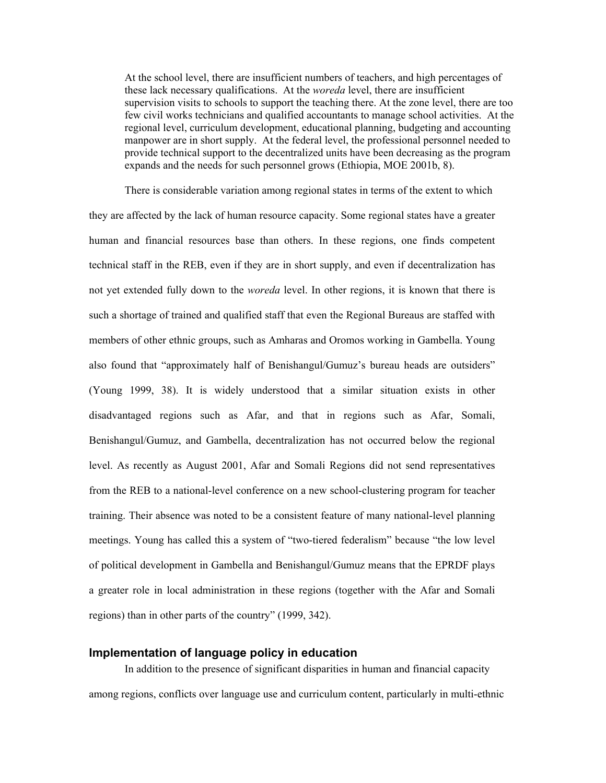At the school level, there are insufficient numbers of teachers, and high percentages of these lack necessary qualifications. At the *woreda* level, there are insufficient supervision visits to schools to support the teaching there. At the zone level, there are too few civil works technicians and qualified accountants to manage school activities. At the regional level, curriculum development, educational planning, budgeting and accounting manpower are in short supply. At the federal level, the professional personnel needed to provide technical support to the decentralized units have been decreasing as the program expands and the needs for such personnel grows (Ethiopia, MOE 2001b, 8).

There is considerable variation among regional states in terms of the extent to which they are affected by the lack of human resource capacity. Some regional states have a greater human and financial resources base than others. In these regions, one finds competent technical staff in the REB, even if they are in short supply, and even if decentralization has not yet extended fully down to the *woreda* level. In other regions, it is known that there is such a shortage of trained and qualified staff that even the Regional Bureaus are staffed with members of other ethnic groups, such as Amharas and Oromos working in Gambella. Young also found that "approximately half of Benishangul/Gumuz's bureau heads are outsiders" (Young 1999, 38). It is widely understood that a similar situation exists in other disadvantaged regions such as Afar, and that in regions such as Afar, Somali, Benishangul/Gumuz, and Gambella, decentralization has not occurred below the regional level. As recently as August 2001, Afar and Somali Regions did not send representatives from the REB to a national-level conference on a new school-clustering program for teacher training. Their absence was noted to be a consistent feature of many national-level planning meetings. Young has called this a system of "two-tiered federalism" because "the low level of political development in Gambella and Benishangul/Gumuz means that the EPRDF plays a greater role in local administration in these regions (together with the Afar and Somali regions) than in other parts of the country" (1999, 342).

# **Implementation of language policy in education**

In addition to the presence of significant disparities in human and financial capacity among regions, conflicts over language use and curriculum content, particularly in multi-ethnic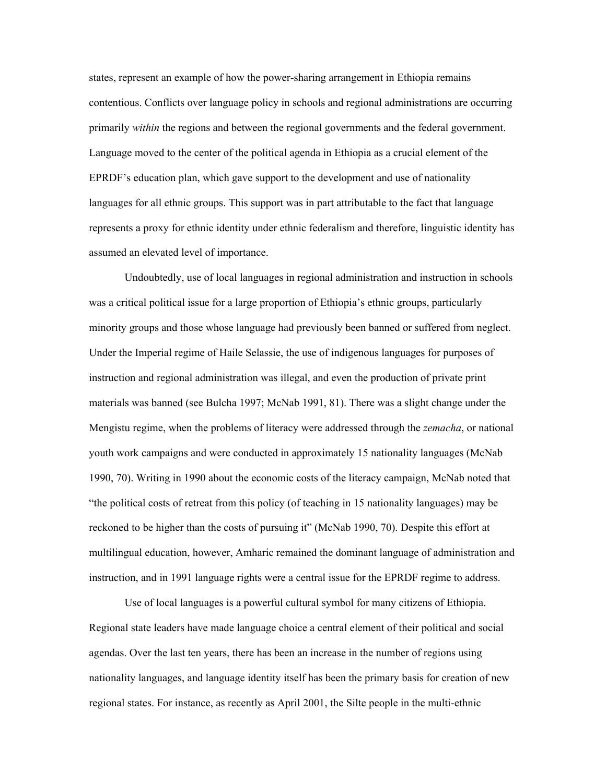states, represent an example of how the power-sharing arrangement in Ethiopia remains contentious. Conflicts over language policy in schools and regional administrations are occurring primarily *within* the regions and between the regional governments and the federal government. Language moved to the center of the political agenda in Ethiopia as a crucial element of the EPRDF's education plan, which gave support to the development and use of nationality languages for all ethnic groups. This support was in part attributable to the fact that language represents a proxy for ethnic identity under ethnic federalism and therefore, linguistic identity has assumed an elevated level of importance.

Undoubtedly, use of local languages in regional administration and instruction in schools was a critical political issue for a large proportion of Ethiopia's ethnic groups, particularly minority groups and those whose language had previously been banned or suffered from neglect. Under the Imperial regime of Haile Selassie, the use of indigenous languages for purposes of instruction and regional administration was illegal, and even the production of private print materials was banned (see Bulcha 1997; McNab 1991, 81). There was a slight change under the Mengistu regime, when the problems of literacy were addressed through the *zemacha*, or national youth work campaigns and were conducted in approximately 15 nationality languages (McNab 1990, 70). Writing in 1990 about the economic costs of the literacy campaign, McNab noted that "the political costs of retreat from this policy (of teaching in 15 nationality languages) may be reckoned to be higher than the costs of pursuing it" (McNab 1990, 70). Despite this effort at multilingual education, however, Amharic remained the dominant language of administration and instruction, and in 1991 language rights were a central issue for the EPRDF regime to address.

Use of local languages is a powerful cultural symbol for many citizens of Ethiopia. Regional state leaders have made language choice a central element of their political and social agendas. Over the last ten years, there has been an increase in the number of regions using nationality languages, and language identity itself has been the primary basis for creation of new regional states. For instance, as recently as April 2001, the Silte people in the multi-ethnic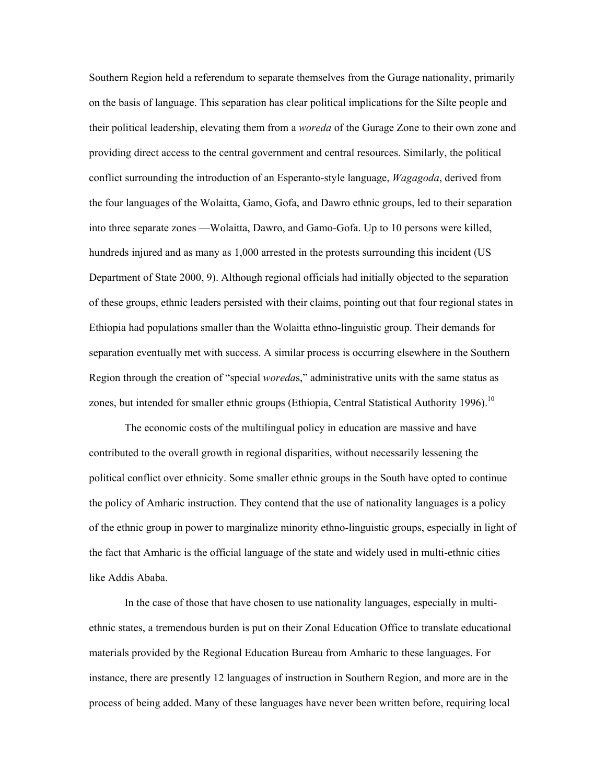Southern Region held a referendum to separate themselves from the Gurage nationality, primarily on the basis of language. This separation has clear political implications for the Silte people and their political leadership, elevating them from a *woreda* of the Gurage Zone to their own zone and providing direct access to the central government and central resources. Similarly, the political conflict surrounding the introduction of an Esperanto-style language, *Wagagoda*, derived from the four languages of the Wolaitta, Gamo, Gofa, and Dawro ethnic groups, led to their separation into three separate zones —Wolaitta, Dawro, and Gamo-Gofa. Up to 10 persons were killed, hundreds injured and as many as 1,000 arrested in the protests surrounding this incident (US Department of State 2000, 9). Although regional officials had initially objected to the separation of these groups, ethnic leaders persisted with their claims, pointing out that four regional states in Ethiopia had populations smaller than the Wolaitta ethno-linguistic group. Their demands for separation eventually met with success. A similar process is occurring elsewhere in the Southern Region through the creation of "special *woreda*s," administrative units with the same status as zones, but intended for smaller ethnic groups (Ethiopia, Central Statistical Authority 1996).<sup>10</sup>

The economic costs of the multilingual policy in education are massive and have contributed to the overall growth in regional disparities, without necessarily lessening the political conflict over ethnicity. Some smaller ethnic groups in the South have opted to continue the policy of Amharic instruction. They contend that the use of nationality languages is a policy of the ethnic group in power to marginalize minority ethno-linguistic groups, especially in light of the fact that Amharic is the official language of the state and widely used in multi-ethnic cities like Addis Ababa.

In the case of those that have chosen to use nationality languages, especially in multiethnic states, a tremendous burden is put on their Zonal Education Office to translate educational materials provided by the Regional Education Bureau from Amharic to these languages. For instance, there are presently 12 languages of instruction in Southern Region, and more are in the process of being added. Many of these languages have never been written before, requiring local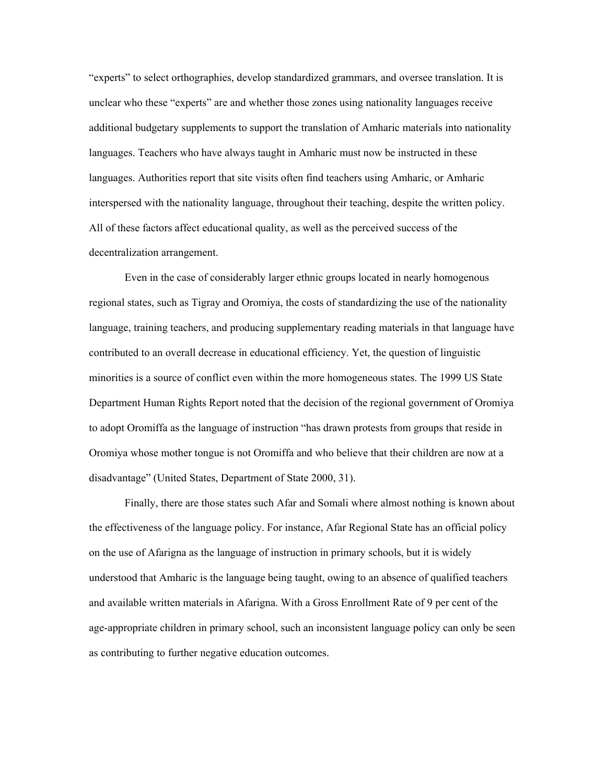"experts" to select orthographies, develop standardized grammars, and oversee translation. It is unclear who these "experts" are and whether those zones using nationality languages receive additional budgetary supplements to support the translation of Amharic materials into nationality languages. Teachers who have always taught in Amharic must now be instructed in these languages. Authorities report that site visits often find teachers using Amharic, or Amharic interspersed with the nationality language, throughout their teaching, despite the written policy. All of these factors affect educational quality, as well as the perceived success of the decentralization arrangement.

Even in the case of considerably larger ethnic groups located in nearly homogenous regional states, such as Tigray and Oromiya, the costs of standardizing the use of the nationality language, training teachers, and producing supplementary reading materials in that language have contributed to an overall decrease in educational efficiency. Yet, the question of linguistic minorities is a source of conflict even within the more homogeneous states. The 1999 US State Department Human Rights Report noted that the decision of the regional government of Oromiya to adopt Oromiffa as the language of instruction "has drawn protests from groups that reside in Oromiya whose mother tongue is not Oromiffa and who believe that their children are now at a disadvantage" (United States, Department of State 2000, 31).

Finally, there are those states such Afar and Somali where almost nothing is known about the effectiveness of the language policy. For instance, Afar Regional State has an official policy on the use of Afarigna as the language of instruction in primary schools, but it is widely understood that Amharic is the language being taught, owing to an absence of qualified teachers and available written materials in Afarigna. With a Gross Enrollment Rate of 9 per cent of the age-appropriate children in primary school, such an inconsistent language policy can only be seen as contributing to further negative education outcomes.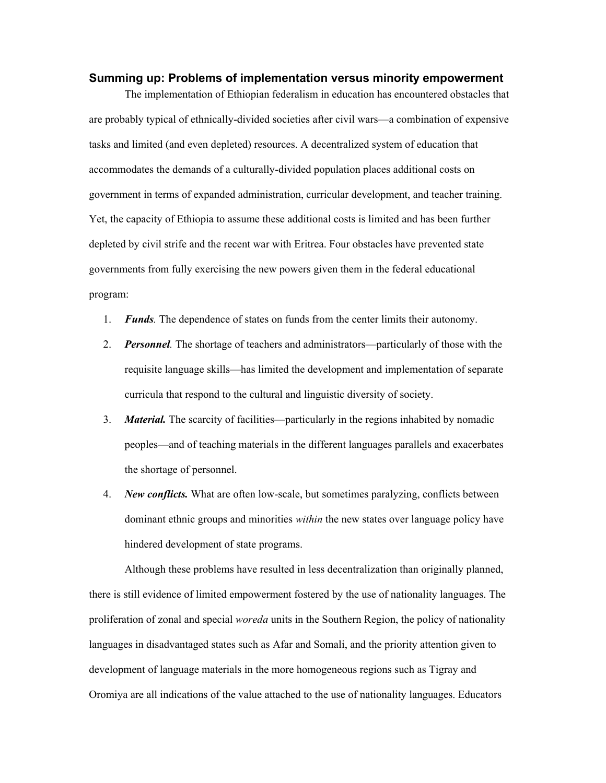## **Summing up: Problems of implementation versus minority empowerment**

The implementation of Ethiopian federalism in education has encountered obstacles that are probably typical of ethnically-divided societies after civil wars—a combination of expensive tasks and limited (and even depleted) resources. A decentralized system of education that accommodates the demands of a culturally-divided population places additional costs on government in terms of expanded administration, curricular development, and teacher training. Yet, the capacity of Ethiopia to assume these additional costs is limited and has been further depleted by civil strife and the recent war with Eritrea. Four obstacles have prevented state governments from fully exercising the new powers given them in the federal educational program:

- 1. *Funds.* The dependence of states on funds from the center limits their autonomy.
- 2. *Personnel.* The shortage of teachers and administrators—particularly of those with the requisite language skills—has limited the development and implementation of separate curricula that respond to the cultural and linguistic diversity of society.
- 3. *Material.* The scarcity of facilities—particularly in the regions inhabited by nomadic peoples—and of teaching materials in the different languages parallels and exacerbates the shortage of personnel.
- 4. *New conflicts.* What are often low-scale, but sometimes paralyzing, conflicts between dominant ethnic groups and minorities *within* the new states over language policy have hindered development of state programs.

Although these problems have resulted in less decentralization than originally planned, there is still evidence of limited empowerment fostered by the use of nationality languages. The proliferation of zonal and special *woreda* units in the Southern Region, the policy of nationality languages in disadvantaged states such as Afar and Somali, and the priority attention given to development of language materials in the more homogeneous regions such as Tigray and Oromiya are all indications of the value attached to the use of nationality languages. Educators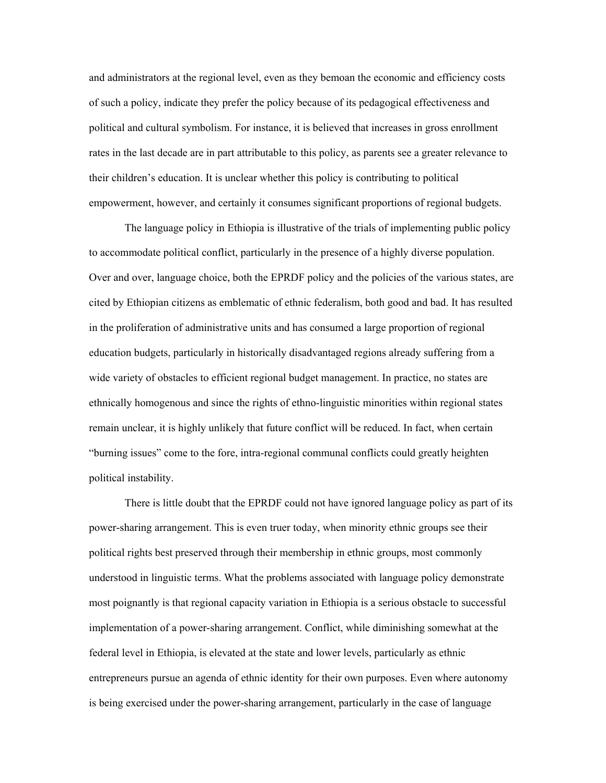and administrators at the regional level, even as they bemoan the economic and efficiency costs of such a policy, indicate they prefer the policy because of its pedagogical effectiveness and political and cultural symbolism. For instance, it is believed that increases in gross enrollment rates in the last decade are in part attributable to this policy, as parents see a greater relevance to their children's education. It is unclear whether this policy is contributing to political empowerment, however, and certainly it consumes significant proportions of regional budgets.

The language policy in Ethiopia is illustrative of the trials of implementing public policy to accommodate political conflict, particularly in the presence of a highly diverse population. Over and over, language choice, both the EPRDF policy and the policies of the various states, are cited by Ethiopian citizens as emblematic of ethnic federalism, both good and bad. It has resulted in the proliferation of administrative units and has consumed a large proportion of regional education budgets, particularly in historically disadvantaged regions already suffering from a wide variety of obstacles to efficient regional budget management. In practice, no states are ethnically homogenous and since the rights of ethno-linguistic minorities within regional states remain unclear, it is highly unlikely that future conflict will be reduced. In fact, when certain "burning issues" come to the fore, intra-regional communal conflicts could greatly heighten political instability.

There is little doubt that the EPRDF could not have ignored language policy as part of its power-sharing arrangement. This is even truer today, when minority ethnic groups see their political rights best preserved through their membership in ethnic groups, most commonly understood in linguistic terms. What the problems associated with language policy demonstrate most poignantly is that regional capacity variation in Ethiopia is a serious obstacle to successful implementation of a power-sharing arrangement. Conflict, while diminishing somewhat at the federal level in Ethiopia, is elevated at the state and lower levels, particularly as ethnic entrepreneurs pursue an agenda of ethnic identity for their own purposes. Even where autonomy is being exercised under the power-sharing arrangement, particularly in the case of language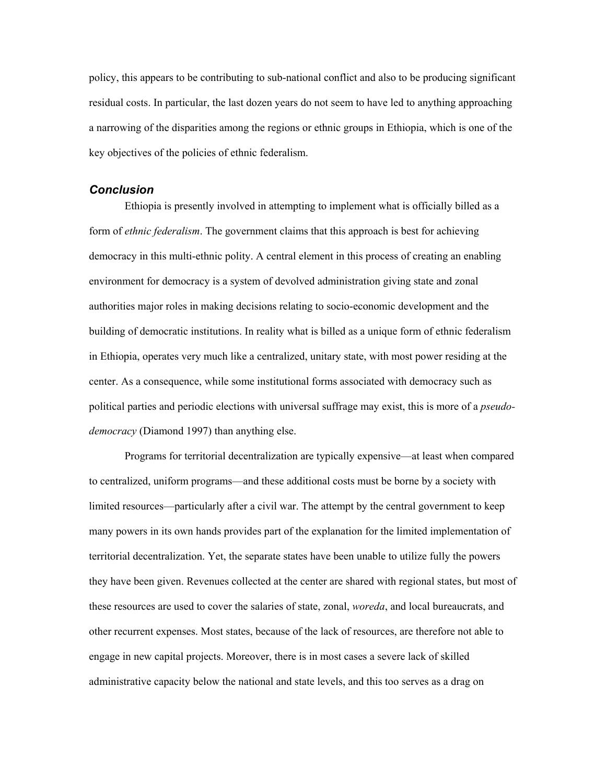policy, this appears to be contributing to sub-national conflict and also to be producing significant residual costs. In particular, the last dozen years do not seem to have led to anything approaching a narrowing of the disparities among the regions or ethnic groups in Ethiopia, which is one of the key objectives of the policies of ethnic federalism.

## *Conclusion*

Ethiopia is presently involved in attempting to implement what is officially billed as a form of *ethnic federalism*. The government claims that this approach is best for achieving democracy in this multi-ethnic polity. A central element in this process of creating an enabling environment for democracy is a system of devolved administration giving state and zonal authorities major roles in making decisions relating to socio-economic development and the building of democratic institutions. In reality what is billed as a unique form of ethnic federalism in Ethiopia, operates very much like a centralized, unitary state, with most power residing at the center. As a consequence, while some institutional forms associated with democracy such as political parties and periodic elections with universal suffrage may exist, this is more of a *pseudodemocracy* (Diamond 1997) than anything else.

Programs for territorial decentralization are typically expensive—at least when compared to centralized, uniform programs—and these additional costs must be borne by a society with limited resources—particularly after a civil war. The attempt by the central government to keep many powers in its own hands provides part of the explanation for the limited implementation of territorial decentralization. Yet, the separate states have been unable to utilize fully the powers they have been given. Revenues collected at the center are shared with regional states, but most of these resources are used to cover the salaries of state, zonal, *woreda*, and local bureaucrats, and other recurrent expenses. Most states, because of the lack of resources, are therefore not able to engage in new capital projects. Moreover, there is in most cases a severe lack of skilled administrative capacity below the national and state levels, and this too serves as a drag on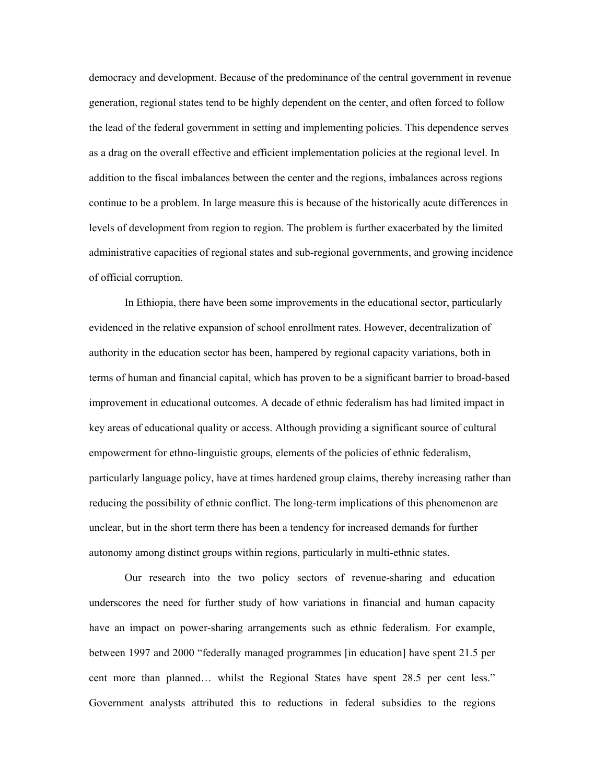democracy and development. Because of the predominance of the central government in revenue generation, regional states tend to be highly dependent on the center, and often forced to follow the lead of the federal government in setting and implementing policies. This dependence serves as a drag on the overall effective and efficient implementation policies at the regional level. In addition to the fiscal imbalances between the center and the regions, imbalances across regions continue to be a problem. In large measure this is because of the historically acute differences in levels of development from region to region. The problem is further exacerbated by the limited administrative capacities of regional states and sub-regional governments, and growing incidence of official corruption.

In Ethiopia, there have been some improvements in the educational sector, particularly evidenced in the relative expansion of school enrollment rates. However, decentralization of authority in the education sector has been, hampered by regional capacity variations, both in terms of human and financial capital, which has proven to be a significant barrier to broad-based improvement in educational outcomes. A decade of ethnic federalism has had limited impact in key areas of educational quality or access. Although providing a significant source of cultural empowerment for ethno-linguistic groups, elements of the policies of ethnic federalism, particularly language policy, have at times hardened group claims, thereby increasing rather than reducing the possibility of ethnic conflict. The long-term implications of this phenomenon are unclear, but in the short term there has been a tendency for increased demands for further autonomy among distinct groups within regions, particularly in multi-ethnic states.

 Our research into the two policy sectors of revenue-sharing and education underscores the need for further study of how variations in financial and human capacity have an impact on power-sharing arrangements such as ethnic federalism. For example, between 1997 and 2000 "federally managed programmes [in education] have spent 21.5 per cent more than planned… whilst the Regional States have spent 28.5 per cent less." Government analysts attributed this to reductions in federal subsidies to the regions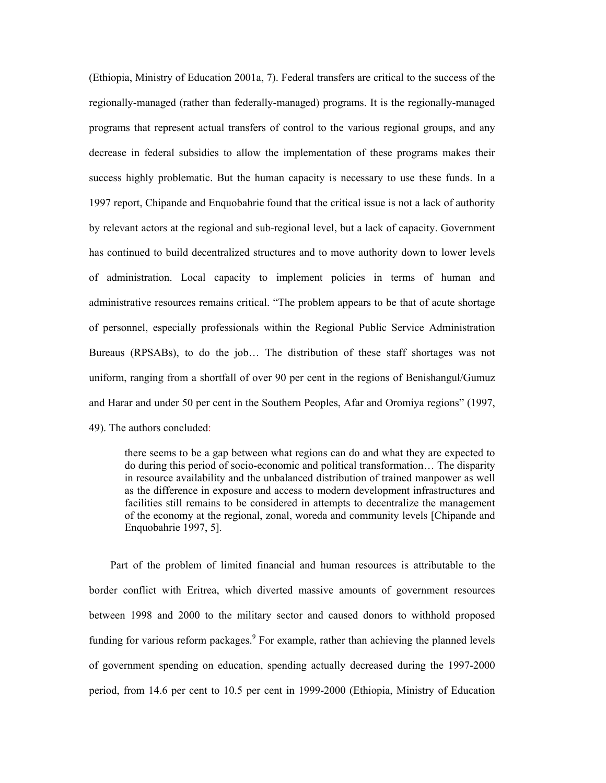(Ethiopia, Ministry of Education 2001a, 7). Federal transfers are critical to the success of the regionally-managed (rather than federally-managed) programs. It is the regionally-managed programs that represent actual transfers of control to the various regional groups, and any decrease in federal subsidies to allow the implementation of these programs makes their success highly problematic. But the human capacity is necessary to use these funds. In a 1997 report, Chipande and Enquobahrie found that the critical issue is not a lack of authority by relevant actors at the regional and sub-regional level, but a lack of capacity. Government has continued to build decentralized structures and to move authority down to lower levels of administration. Local capacity to implement policies in terms of human and administrative resources remains critical. "The problem appears to be that of acute shortage of personnel, especially professionals within the Regional Public Service Administration Bureaus (RPSABs), to do the job… The distribution of these staff shortages was not uniform, ranging from a shortfall of over 90 per cent in the regions of Benishangul/Gumuz and Harar and under 50 per cent in the Southern Peoples, Afar and Oromiya regions" (1997, 49). The authors concluded:

there seems to be a gap between what regions can do and what they are expected to do during this period of socio-economic and political transformation… The disparity in resource availability and the unbalanced distribution of trained manpower as well as the difference in exposure and access to modern development infrastructures and facilities still remains to be considered in attempts to decentralize the management of the economy at the regional, zonal, woreda and community levels [Chipande and Enquobahrie 1997, 5].

Part of the problem of limited financial and human resources is attributable to the border conflict with Eritrea, which diverted massive amounts of government resources between 1998 and 2000 to the military sector and caused donors to withhold proposed funding for various reform packages. $9$  For example, rather than achieving the planned levels of government spending on education, spending actually decreased during the 1997-2000 period, from 14.6 per cent to 10.5 per cent in 1999-2000 (Ethiopia, Ministry of Education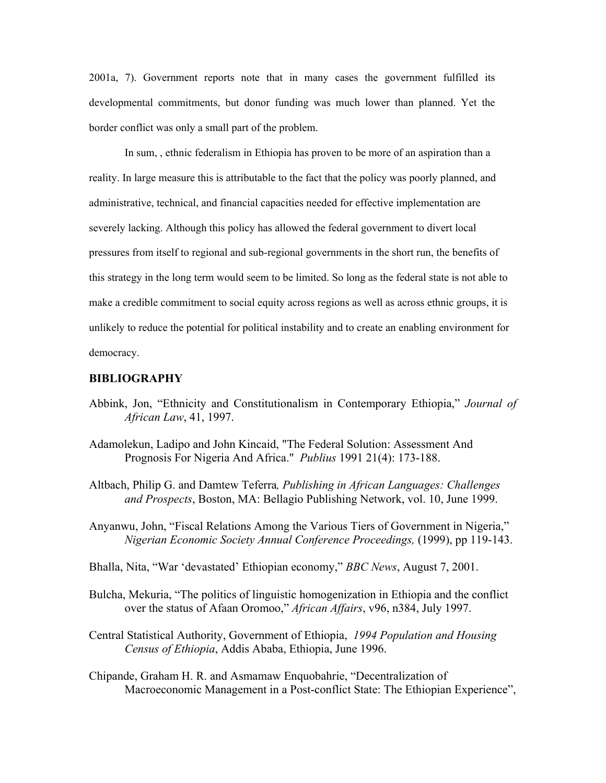2001a, 7). Government reports note that in many cases the government fulfilled its developmental commitments, but donor funding was much lower than planned. Yet the border conflict was only a small part of the problem.

In sum, , ethnic federalism in Ethiopia has proven to be more of an aspiration than a reality. In large measure this is attributable to the fact that the policy was poorly planned, and administrative, technical, and financial capacities needed for effective implementation are severely lacking. Although this policy has allowed the federal government to divert local pressures from itself to regional and sub-regional governments in the short run, the benefits of this strategy in the long term would seem to be limited. So long as the federal state is not able to make a credible commitment to social equity across regions as well as across ethnic groups, it is unlikely to reduce the potential for political instability and to create an enabling environment for democracy.

#### **BIBLIOGRAPHY**

- Abbink, Jon, "Ethnicity and Constitutionalism in Contemporary Ethiopia," *Journal of African Law*, 41, 1997.
- Adamolekun, Ladipo and John Kincaid, "The Federal Solution: Assessment And Prognosis For Nigeria And Africa." *Publius* 1991 21(4): 173-188.
- Altbach, Philip G. and Damtew Teferra*, Publishing in African Languages: Challenges and Prospects*, Boston, MA: Bellagio Publishing Network, vol. 10, June 1999.
- Anyanwu, John, "Fiscal Relations Among the Various Tiers of Government in Nigeria," *Nigerian Economic Society Annual Conference Proceedings,* (1999), pp 119-143.
- Bhalla, Nita, "War 'devastated' Ethiopian economy," *BBC News*, August 7, 2001.
- Bulcha, Mekuria, "The politics of linguistic homogenization in Ethiopia and the conflict over the status of Afaan Oromoo," *African Affairs*, v96, n384, July 1997.
- Central Statistical Authority, Government of Ethiopia, *1994 Population and Housing Census of Ethiopia*, Addis Ababa, Ethiopia, June 1996.
- Chipande, Graham H. R. and Asmamaw Enquobahrie, "Decentralization of Macroeconomic Management in a Post-conflict State: The Ethiopian Experience",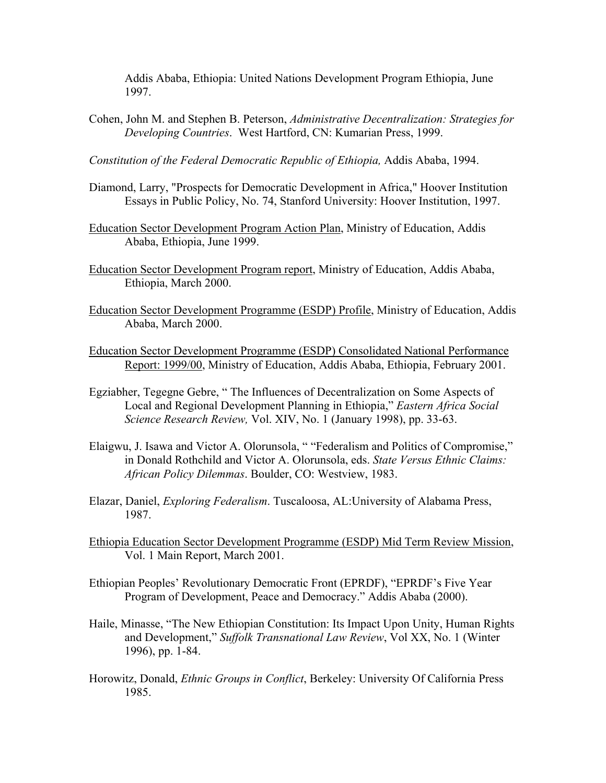Addis Ababa, Ethiopia: United Nations Development Program Ethiopia, June 1997.

Cohen, John M. and Stephen B. Peterson, *Administrative Decentralization: Strategies for Developing Countries*. West Hartford, CN: Kumarian Press, 1999.

*Constitution of the Federal Democratic Republic of Ethiopia,* Addis Ababa, 1994.

- Diamond, Larry, "Prospects for Democratic Development in Africa," Hoover Institution Essays in Public Policy, No. 74, Stanford University: Hoover Institution, 1997.
- Education Sector Development Program Action Plan, Ministry of Education, Addis Ababa, Ethiopia, June 1999.
- Education Sector Development Program report, Ministry of Education, Addis Ababa, Ethiopia, March 2000.
- Education Sector Development Programme (ESDP) Profile, Ministry of Education, Addis Ababa, March 2000.
- Education Sector Development Programme (ESDP) Consolidated National Performance Report: 1999/00, Ministry of Education, Addis Ababa, Ethiopia, February 2001.
- Egziabher, Tegegne Gebre, " The Influences of Decentralization on Some Aspects of Local and Regional Development Planning in Ethiopia," *Eastern Africa Social Science Research Review,* Vol. XIV, No. 1 (January 1998), pp. 33-63.
- Elaigwu, J. Isawa and Victor A. Olorunsola, " "Federalism and Politics of Compromise," in Donald Rothchild and Victor A. Olorunsola, eds. *State Versus Ethnic Claims: African Policy Dilemmas*. Boulder, CO: Westview, 1983.
- Elazar, Daniel, *Exploring Federalism*. Tuscaloosa, AL:University of Alabama Press, 1987.
- Ethiopia Education Sector Development Programme (ESDP) Mid Term Review Mission, Vol. 1 Main Report, March 2001.
- Ethiopian Peoples' Revolutionary Democratic Front (EPRDF), "EPRDF's Five Year Program of Development, Peace and Democracy." Addis Ababa (2000).
- Haile, Minasse, "The New Ethiopian Constitution: Its Impact Upon Unity, Human Rights and Development," *Suffolk Transnational Law Review*, Vol XX, No. 1 (Winter 1996), pp. 1-84.
- Horowitz, Donald, *Ethnic Groups in Conflict*, Berkeley: University Of California Press 1985.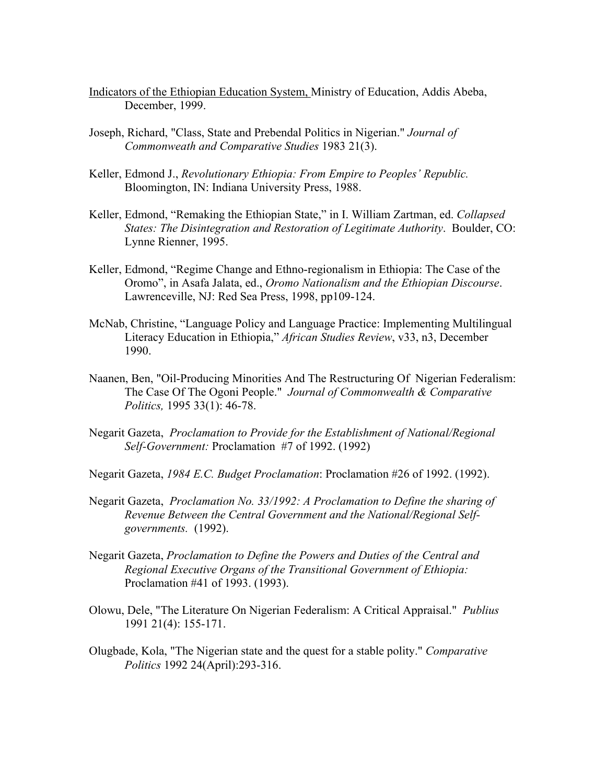- Indicators of the Ethiopian Education System, Ministry of Education, Addis Abeba, December, 1999.
- Joseph, Richard, "Class, State and Prebendal Politics in Nigerian." *Journal of Commonweath and Comparative Studies* 1983 21(3).
- Keller, Edmond J., *Revolutionary Ethiopia: From Empire to Peoples' Republic.*  Bloomington, IN: Indiana University Press, 1988.
- Keller, Edmond, "Remaking the Ethiopian State," in I. William Zartman, ed. *Collapsed States: The Disintegration and Restoration of Legitimate Authority*. Boulder, CO: Lynne Rienner, 1995.
- Keller, Edmond, "Regime Change and Ethno-regionalism in Ethiopia: The Case of the Oromo", in Asafa Jalata, ed., *Oromo Nationalism and the Ethiopian Discourse*. Lawrenceville, NJ: Red Sea Press, 1998, pp109-124.
- McNab, Christine, "Language Policy and Language Practice: Implementing Multilingual Literacy Education in Ethiopia," *African Studies Review*, v33, n3, December 1990.
- Naanen, Ben, "Oil-Producing Minorities And The Restructuring Of Nigerian Federalism: The Case Of The Ogoni People." *Journal of Commonwealth & Comparative Politics,* 1995 33(1): 46-78.
- Negarit Gazeta, *Proclamation to Provide for the Establishment of National/Regional Self-Government:* Proclamation #7 of 1992. (1992)

Negarit Gazeta, *1984 E.C. Budget Proclamation*: Proclamation #26 of 1992. (1992).

- Negarit Gazeta, *Proclamation No. 33/1992: A Proclamation to Define the sharing of Revenue Between the Central Government and the National/Regional Selfgovernments.* (1992).
- Negarit Gazeta, *Proclamation to Define the Powers and Duties of the Central and Regional Executive Organs of the Transitional Government of Ethiopia:* Proclamation #41 of 1993. (1993).
- Olowu, Dele, "The Literature On Nigerian Federalism: A Critical Appraisal." *Publius* 1991 21(4): 155-171.
- Olugbade, Kola, "The Nigerian state and the quest for a stable polity." *Comparative Politics* 1992 24(April):293-316.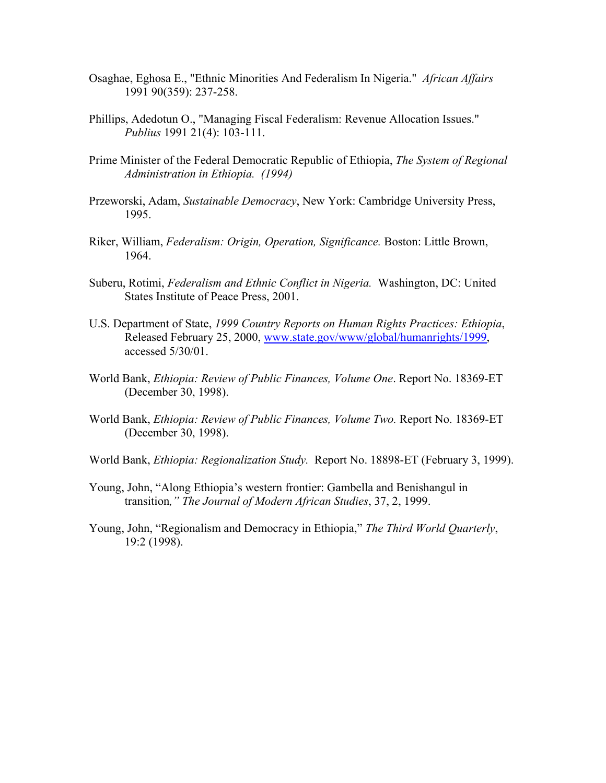- Osaghae, Eghosa E., "Ethnic Minorities And Federalism In Nigeria." *African Affairs* 1991 90(359): 237-258.
- Phillips, Adedotun O., "Managing Fiscal Federalism: Revenue Allocation Issues." *Publius* 1991 21(4): 103-111.
- Prime Minister of the Federal Democratic Republic of Ethiopia, *The System of Regional Administration in Ethiopia. (1994)*
- Przeworski, Adam, *Sustainable Democracy*, New York: Cambridge University Press, 1995.
- Riker, William, *Federalism: Origin, Operation, Significance.* Boston: Little Brown, 1964.
- Suberu, Rotimi, *Federalism and Ethnic Conflict in Nigeria.* Washington, DC: United States Institute of Peace Press, 2001.
- U.S. Department of State, *1999 Country Reports on Human Rights Practices: Ethiopia*, Released February 25, 2000, www.state.gov/www/global/humanrights/1999, accessed 5/30/01.
- World Bank, *Ethiopia: Review of Public Finances, Volume One*. Report No. 18369-ET (December 30, 1998).
- World Bank, *Ethiopia: Review of Public Finances, Volume Two.* Report No. 18369-ET (December 30, 1998).
- World Bank, *Ethiopia: Regionalization Study.* Report No. 18898-ET (February 3, 1999).
- Young, John, "Along Ethiopia's western frontier: Gambella and Benishangul in transition*," The Journal of Modern African Studies*, 37, 2, 1999.
- Young, John, "Regionalism and Democracy in Ethiopia," *The Third World Quarterly*, 19:2 (1998).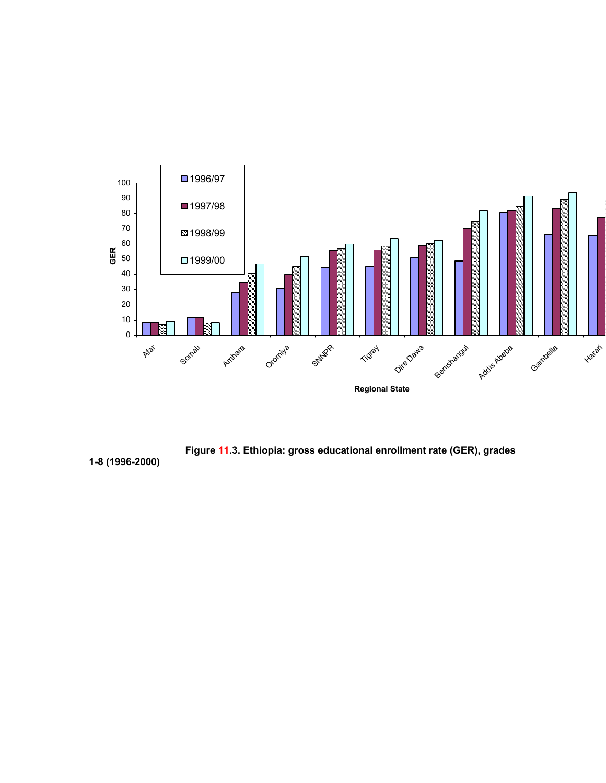



**1-8 (1996-2000)**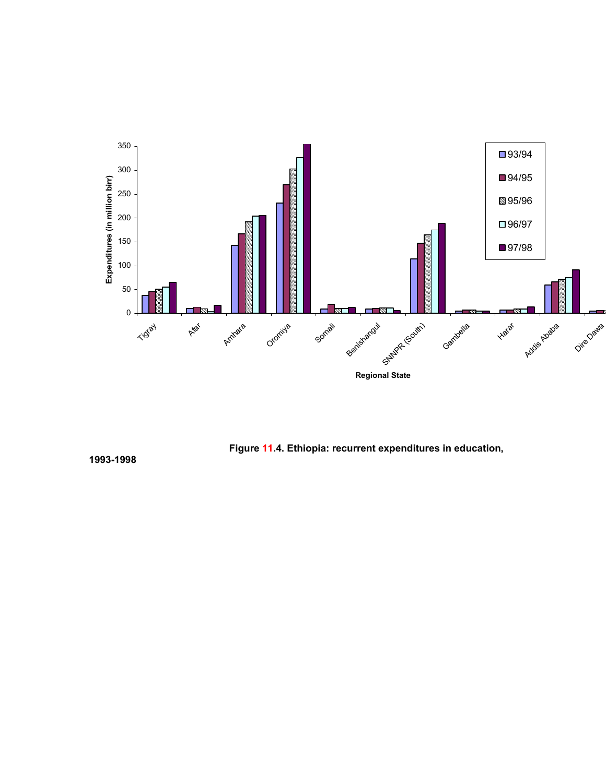



**1993-1998**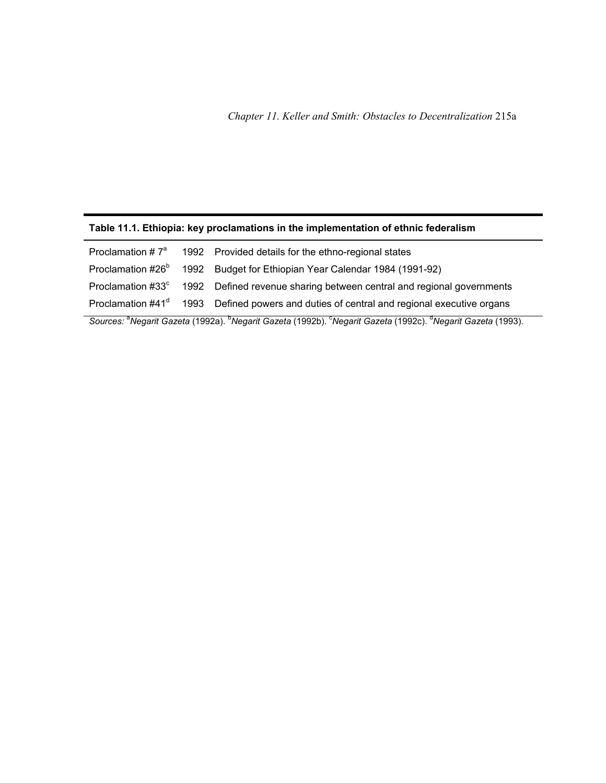## **Table 11.1. Ethiopia: key proclamations in the implementation of ethnic federalism**

|  | Proclamation $\#7^a$ 1992 Provided details for the ethno-regional states                                      |
|--|---------------------------------------------------------------------------------------------------------------|
|  | Proclamation #26 <sup>b</sup> 1992 Budget for Ethiopian Year Calendar 1984 (1991-92)                          |
|  | Proclamation #33° 1992 Defined revenue sharing between central and regional governments                       |
|  | Proclamation #41 <sup>d</sup> 1993 Defined powers and duties of central and regional executive organs         |
|  | n de la contra la posta de la contra la contra la contra la contra la contra la contra la contra la contra la |

Sources: <sup>a</sup>Negarit Gazeta (1992a). <sup>b</sup>Negarit Gazeta (1992b). <sup>c</sup>Negarit Gazeta (1992c). <sup>d</sup>Negarit Gazeta (1993).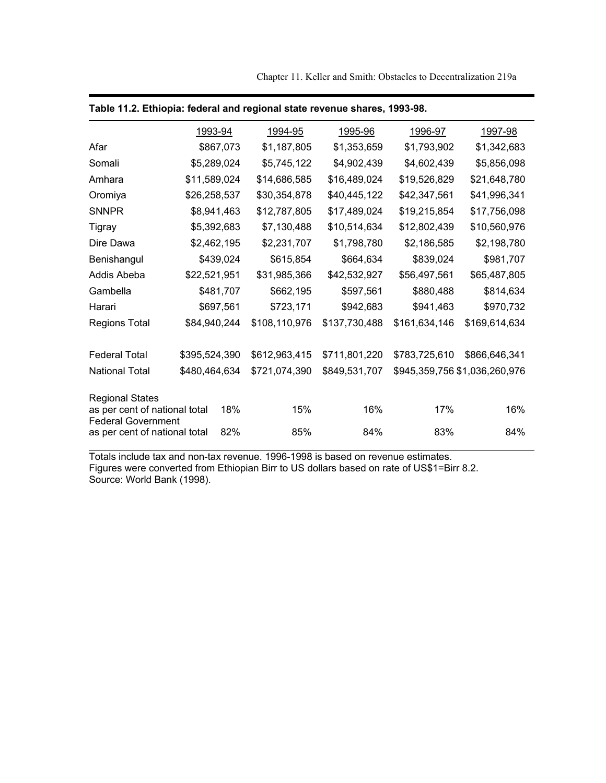Chapter 11. Keller and Smith: Obstacles to Decentralization 219a

|                                                            |               | 1993-94     | 1994-95       | 1995-96       | 1996-97                       | 1997-98                  |  |
|------------------------------------------------------------|---------------|-------------|---------------|---------------|-------------------------------|--------------------------|--|
| Afar                                                       |               | \$867,073   | \$1,187,805   | \$1,353,659   | \$1,793,902                   | \$1,342,683              |  |
| Somali                                                     |               | \$5,289,024 | \$5,745,122   | \$4,902,439   | \$4,602,439                   | \$5,856,098              |  |
| Amhara                                                     | \$11,589,024  |             | \$14,686,585  | \$16,489,024  | \$19,526,829                  | \$21,648,780             |  |
| Oromiya                                                    | \$26,258,537  |             | \$30,354,878  | \$40,445,122  | \$42,347,561                  | \$41,996,341             |  |
| <b>SNNPR</b>                                               |               | \$8,941,463 | \$12,787,805  | \$17,489,024  | \$19,215,854                  | \$17,756,098             |  |
| Tigray                                                     |               | \$5,392,683 | \$7,130,488   | \$10,514,634  | \$12,802,439                  | \$10,560,976             |  |
| Dire Dawa                                                  | \$2,462,195   |             | \$2,231,707   | \$1,798,780   | \$2,186,585<br>\$839,024      | \$2,198,780<br>\$981,707 |  |
| Benishangul                                                | \$439,024     |             | \$615,854     | \$664,634     |                               |                          |  |
| Addis Abeba                                                | \$22,521,951  |             | \$31,985,366  | \$42,532,927  | \$56,497,561                  | \$65,487,805             |  |
| Gambella                                                   |               | \$481,707   | \$662,195     | \$597,561     | \$880,488                     | \$814,634                |  |
| Harari                                                     |               | \$697,561   | \$723,171     | \$942,683     | \$941,463                     | \$970,732                |  |
| <b>Regions Total</b>                                       | \$84,940,244  |             | \$108,110,976 | \$137,730,488 | \$161,634,146                 | \$169,614,634            |  |
| <b>Federal Total</b>                                       | \$395,524,390 |             | \$612,963,415 | \$711,801,220 | \$783,725,610                 | \$866,646,341            |  |
| <b>National Total</b>                                      | \$480,464,634 |             | \$721,074,390 | \$849,531,707 | \$945,359,756 \$1,036,260,976 |                          |  |
| <b>Regional States</b><br>as per cent of national total    |               | 18%         | 15%           | 16%           | 17%                           | 16%                      |  |
| <b>Federal Government</b><br>as per cent of national total |               | 82%         | 85%           | 84%           | 83%                           | 84%                      |  |

|  |  |  |  | Table 11.2. Ethiopia: federal and regional state revenue shares, 1993-98. |  |
|--|--|--|--|---------------------------------------------------------------------------|--|
|--|--|--|--|---------------------------------------------------------------------------|--|

Totals include tax and non-tax revenue. 1996-1998 is based on revenue estimates. Figures were converted from Ethiopian Birr to US dollars based on rate of US\$1=Birr 8.2. Source: World Bank (1998).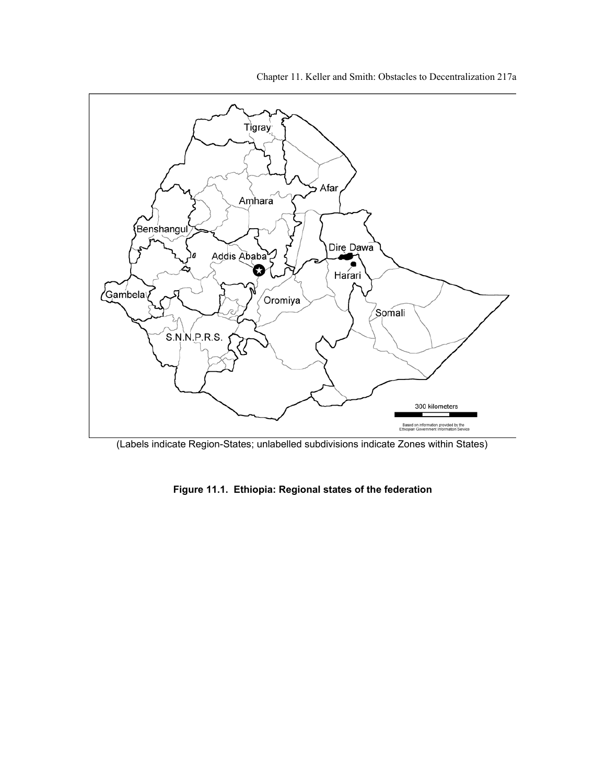Chapter 11. Keller and Smith: Obstacles to Decentralization 217a



(Labels indicate Region-States; unlabelled subdivisions indicate Zones within States)

**Figure 11.1. Ethiopia: Regional states of the federation**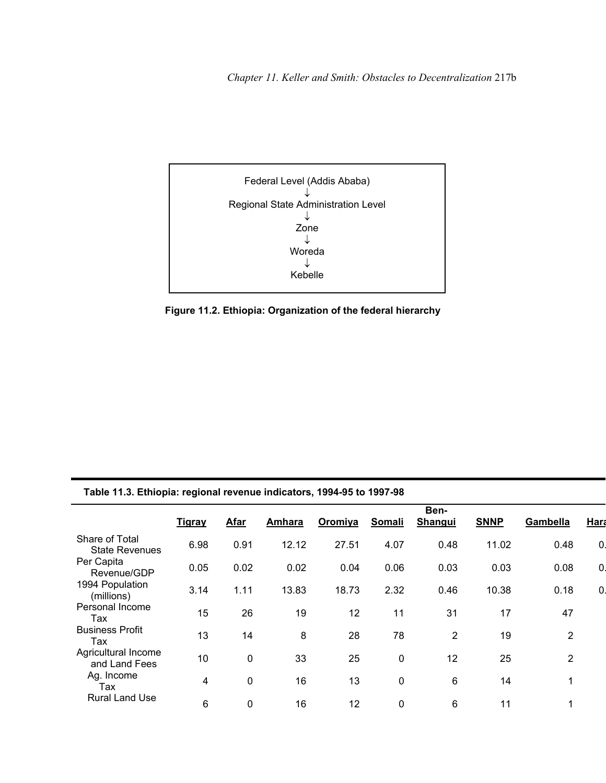

**Figure 11.2. Ethiopia: Organization of the federal hierarchy** 

|  | Table 11.3. Ethiopia: regional revenue indicators, 1994-95 to 1997-98 |  |
|--|-----------------------------------------------------------------------|--|
|  |                                                                       |  |

|                                         | <b>Tigray</b> | <b>Afar</b> | Amhara | Oromiya | <b>Somali</b> | Ben-<br>Shangui | <b>SNNP</b> | Gambella       | Hara         |
|-----------------------------------------|---------------|-------------|--------|---------|---------------|-----------------|-------------|----------------|--------------|
| Share of Total<br><b>State Revenues</b> | 6.98          | 0.91        | 12.12  | 27.51   | 4.07          | 0.48            | 11.02       | 0.48           | $\mathbf{0}$ |
| Per Capita<br>Revenue/GDP               | 0.05          | 0.02        | 0.02   | 0.04    | 0.06          | 0.03            | 0.03        | 0.08           | $\mathbf{0}$ |
| 1994 Population<br>(millions)           | 3.14          | 1.11        | 13.83  | 18.73   | 2.32          | 0.46            | 10.38       | 0.18           | $\mathbf{0}$ |
| Personal Income<br>Tax                  | 15            | 26          | 19     | 12      | 11            | 31              | 17          | 47             |              |
| <b>Business Profit</b><br>Tax           | 13            | 14          | 8      | 28      | 78            | $\overline{2}$  | 19          | $\overline{2}$ |              |
| Agricultural Income<br>and Land Fees    | 10            | $\mathbf 0$ | 33     | 25      | 0             | 12              | 25          | $\overline{2}$ |              |
| Ag. Income<br>Tax                       | 4             | 0           | 16     | 13      | $\mathbf 0$   | 6               | 14          | 1              |              |
| <b>Rural Land Use</b>                   | 6             | $\mathbf 0$ | 16     | 12      | 0             | 6               | 11          | 1              |              |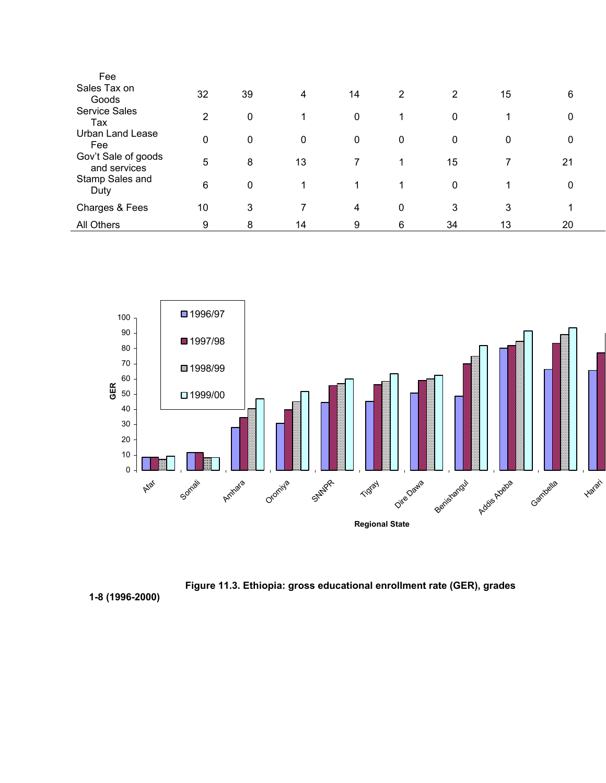| Fee                                 |                |    |    |             |   |    |              |    |  |
|-------------------------------------|----------------|----|----|-------------|---|----|--------------|----|--|
| Sales Tax on<br>Goods               | 32             | 39 | 4  | 14          | 2 | 2  | 15           | 6  |  |
| <b>Service Sales</b><br>Tax         | $\overline{2}$ | 0  | 1  | $\mathbf 0$ |   | 0  |              | 0  |  |
| <b>Urban Land Lease</b><br>Fee      | $\mathbf{0}$   | 0  | 0  | $\mathbf 0$ | 0 | 0  | $\mathbf{0}$ | 0  |  |
| Gov't Sale of goods<br>and services | 5              | 8  | 13 |             | 1 | 15 |              | 21 |  |
| Stamp Sales and<br>Duty             | 6              | 0  | 1  | 1           |   | 0  |              | 0  |  |
| Charges & Fees                      | 10             | 3  |    | 4           | 0 | 3  | 3            | 1  |  |
| All Others                          | 9              | 8  | 14 | 9           | 6 | 34 | 13           | 20 |  |





**1-8 (1996-2000)**